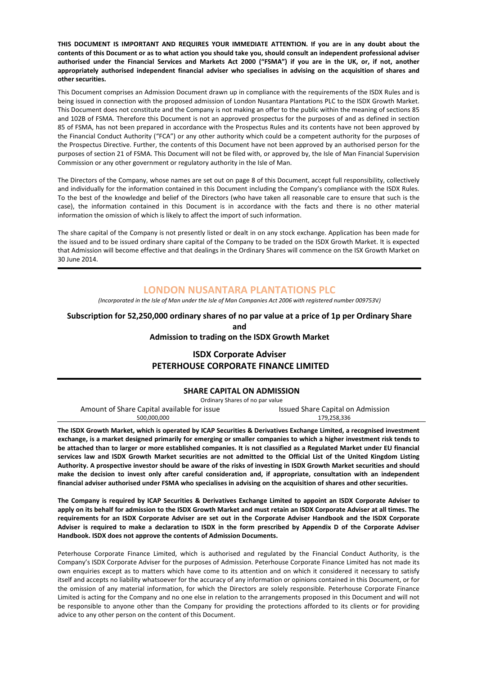THIS DOCUMENT IS IMPORTANT AND REQUIRES YOUR IMMEDIATE ATTENTION. If you are in any doubt about the contents of this Document or as to what action you should take you, should consult an independent professional adviser authorised under the Financial Services and Markets Act 2000 ("FSMA") if you are in the UK, or, if not, another appropriately authorised independent financial adviser who specialises in advising on the acquisition of shares and other securities.

This Document comprises an Admission Document drawn up in compliance with the requirements of the ISDX Rules and is being issued in connection with the proposed admission of London Nusantara Plantations PLC to the ISDX Growth Market. This Document does not constitute and the Company is not making an offer to the public within the meaning of sections 85 and 102B of FSMA. Therefore this Document is not an approved prospectus for the purposes of and as defined in section 85 of FSMA, has not been prepared in accordance with the Prospectus Rules and its contents have not been approved by the Financial Conduct Authority ("FCA") or any other authority which could be a competent authority for the purposes of the Prospectus Directive. Further, the contents of this Document have not been approved by an authorised person for the purposes of section 21 of FSMA. This Document will not be filed with, or approved by, the Isle of Man Financial Supervision Commission or any other government or regulatory authority in the Isle of Man.

The Directors of the Company, whose names are set out on page 8 of this Document, accept full responsibility, collectively and individually for the information contained in this Document including the Company's compliance with the ISDX Rules. To the best of the knowledge and belief of the Directors (who have taken all reasonable care to ensure that such is the case), the information contained in this Document is in accordance with the facts and there is no other material information the omission of which is likely to affect the import of such information.

The share capital of the Company is not presently listed or dealt in on any stock exchange. Application has been made for the issued and to be issued ordinary share capital of the Company to be traded on the ISDX Growth Market. It is expected that Admission will become effective and that dealings in the Ordinary Shares will commence on the ISX Growth Market on 30 June 2014.

# LONDON NUSANTARA PLANTATIONS PLC

(Incorporated in the Isle of Man under the Isle of Man Companies Act 2006 with registered number 009753V)

# Subscription for 52,250,000 ordinary shares of no par value at a price of 1p per Ordinary Share and

Admission to trading on the ISDX Growth Market

# ISDX Corporate Adviser PETERHOUSE CORPORATE FINANCE LIMITED

### SHARE CAPITAL ON ADMISSION

Ordinary Shares of no par value

| Amount of Share Capital available for issue | Issued Share Capital on Admission |
|---------------------------------------------|-----------------------------------|
| 500.000.000                                 | 179.258.336                       |

j

The ISDX Growth Market, which is operated by ICAP Securities & Derivatives Exchange Limited, a recognised investment exchange, is a market designed primarily for emerging or smaller companies to which a higher investment risk tends to be attached than to larger or more established companies. It is not classified as a Regulated Market under EU financial services law and ISDX Growth Market securities are not admitted to the Official List of the United Kingdom Listing Authority. A prospective investor should be aware of the risks of investing in ISDX Growth Market securities and should make the decision to invest only after careful consideration and, if appropriate, consultation with an independent financial adviser authorised under FSMA who specialises in advising on the acquisition of shares and other securities.

The Company is required by ICAP Securities & Derivatives Exchange Limited to appoint an ISDX Corporate Adviser to apply on its behalf for admission to the ISDX Growth Market and must retain an ISDX Corporate Adviser at all times. The requirements for an ISDX Corporate Adviser are set out in the Corporate Adviser Handbook and the ISDX Corporate Adviser is required to make a declaration to ISDX in the form prescribed by Appendix D of the Corporate Adviser Handbook. ISDX does not approve the contents of Admission Documents.

Peterhouse Corporate Finance Limited, which is authorised and regulated by the Financial Conduct Authority, is the Company's ISDX Corporate Adviser for the purposes of Admission. Peterhouse Corporate Finance Limited has not made its own enquiries except as to matters which have come to its attention and on which it considered it necessary to satisfy itself and accepts no liability whatsoever for the accuracy of any information or opinions contained in this Document, or for the omission of any material information, for which the Directors are solely responsible. Peterhouse Corporate Finance Limited is acting for the Company and no one else in relation to the arrangements proposed in this Document and will not be responsible to anyone other than the Company for providing the protections afforded to its clients or for providing advice to any other person on the content of this Document.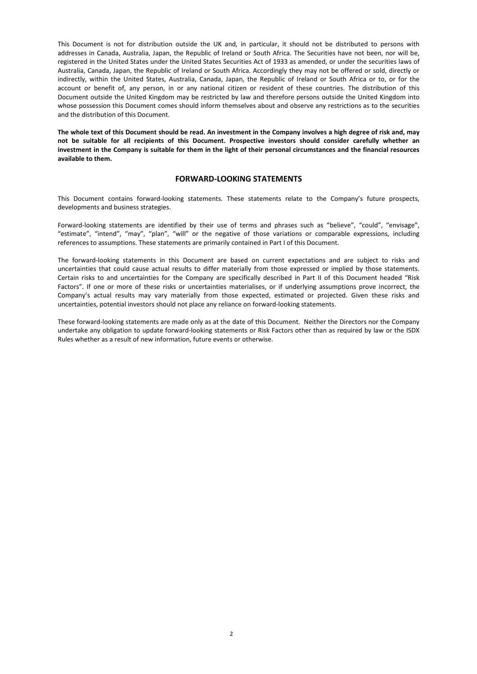This Document is not for distribution outside the UK and, in particular, it should not be distributed to persons with addresses in Canada, Australia, Japan, the Republic of Ireland or South Africa. The Securities have not been, nor will be, registered in the United States under the United States Securities Act of 1933 as amended, or under the securities laws of Australia, Canada, Japan, the Republic of Ireland or South Africa. Accordingly they may not be offered or sold, directly or indirectly, within the United States, Australia, Canada, Japan, the Republic of Ireland or South Africa or to, or for the account or benefit of, any person, in or any national citizen or resident of these countries. The distribution of this Document outside the United Kingdom may be restricted by law and therefore persons outside the United Kingdom into whose possession this Document comes should inform themselves about and observe any restrictions as to the securities and the distribution of this Document.

The whole text of this Document should be read. An investment in the Company involves a high degree of risk and, may not be suitable for all recipients of this Document. Prospective investors should consider carefully whether an investment in the Company is suitable for them in the light of their personal circumstances and the financial resources available to them.

### FORWARD-LOOKING STATEMENTS

This Document contains forward-looking statements. These statements relate to the Company's future prospects, developments and business strategies.

Forward-looking statements are identified by their use of terms and phrases such as "believe", "could", "envisage", "estimate", "intend", "may", "plan", "will" or the negative of those variations or comparable expressions, including references to assumptions. These statements are primarily contained in Part I of this Document.

The forward-looking statements in this Document are based on current expectations and are subject to risks and uncertainties that could cause actual results to differ materially from those expressed or implied by those statements. Certain risks to and uncertainties for the Company are specifically described in Part II of this Document headed "Risk Factors". If one or more of these risks or uncertainties materialises, or if underlying assumptions prove incorrect, the Company's actual results may vary materially from those expected, estimated or projected. Given these risks and uncertainties, potential investors should not place any reliance on forward-looking statements.

These forward-looking statements are made only as at the date of this Document. Neither the Directors nor the Company undertake any obligation to update forward-looking statements or Risk Factors other than as required by law or the ISDX Rules whether as a result of new information, future events or otherwise.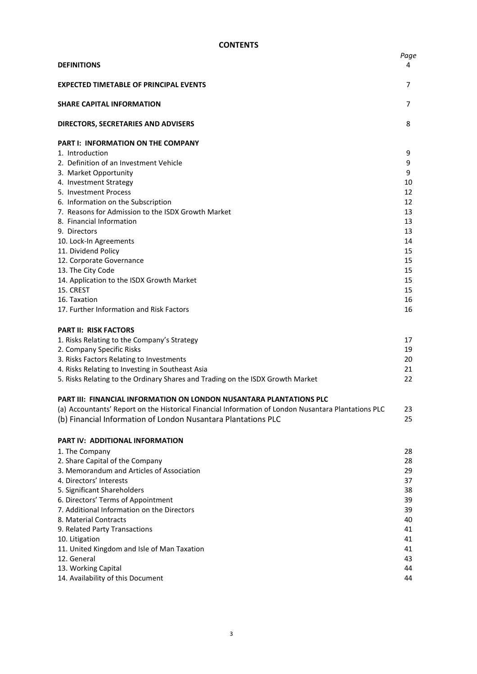| <b>DEFINITIONS</b>                                                                                  | Page<br>4 |
|-----------------------------------------------------------------------------------------------------|-----------|
| <b>EXPECTED TIMETABLE OF PRINCIPAL EVENTS</b>                                                       | 7         |
| <b>SHARE CAPITAL INFORMATION</b>                                                                    | 7         |
| DIRECTORS, SECRETARIES AND ADVISERS                                                                 | 8         |
| <b>PART I: INFORMATION ON THE COMPANY</b>                                                           |           |
| 1. Introduction                                                                                     | 9         |
| 2. Definition of an Investment Vehicle                                                              | 9         |
| 3. Market Opportunity                                                                               | 9         |
| 4. Investment Strategy                                                                              | 10        |
| 5. Investment Process                                                                               | 12        |
| 6. Information on the Subscription                                                                  | 12        |
| 7. Reasons for Admission to the ISDX Growth Market<br>8. Financial Information                      | 13<br>13  |
| 9. Directors                                                                                        | 13        |
| 10. Lock-In Agreements                                                                              | 14        |
| 11. Dividend Policy                                                                                 | 15        |
| 12. Corporate Governance                                                                            | 15        |
| 13. The City Code                                                                                   | 15        |
| 14. Application to the ISDX Growth Market                                                           | 15        |
| 15. CREST                                                                                           | 15        |
| 16. Taxation                                                                                        | 16        |
| 17. Further Information and Risk Factors                                                            | 16        |
| <b>PART II: RISK FACTORS</b>                                                                        |           |
| 1. Risks Relating to the Company's Strategy                                                         | 17        |
| 2. Company Specific Risks                                                                           | 19        |
| 3. Risks Factors Relating to Investments                                                            | 20        |
| 4. Risks Relating to Investing in Southeast Asia                                                    | 21        |
| 5. Risks Relating to the Ordinary Shares and Trading on the ISDX Growth Market                      | 22        |
| PART III: FINANCIAL INFORMATION ON LONDON NUSANTARA PLANTATIONS PLC                                 |           |
| (a) Accountants' Report on the Historical Financial Information of London Nusantara Plantations PLC | 23        |
| (b) Financial Information of London Nusantara Plantations PLC                                       | 25        |
| <b>PART IV: ADDITIONAL INFORMATION</b>                                                              |           |
| 1. The Company                                                                                      | 28        |
| 2. Share Capital of the Company                                                                     | 28        |
| 3. Memorandum and Articles of Association                                                           | 29        |
| 4. Directors' Interests                                                                             | 37        |
| 5. Significant Shareholders                                                                         | 38        |
| 6. Directors' Terms of Appointment                                                                  | 39        |
| 7. Additional Information on the Directors                                                          | 39        |
| 8. Material Contracts                                                                               | 40        |
| 9. Related Party Transactions                                                                       | 41        |
| 10. Litigation                                                                                      | 41        |
| 11. United Kingdom and Isle of Man Taxation                                                         | 41        |
| 12. General                                                                                         | 43        |
| 13. Working Capital                                                                                 | 44        |
| 14. Availability of this Document                                                                   | 44        |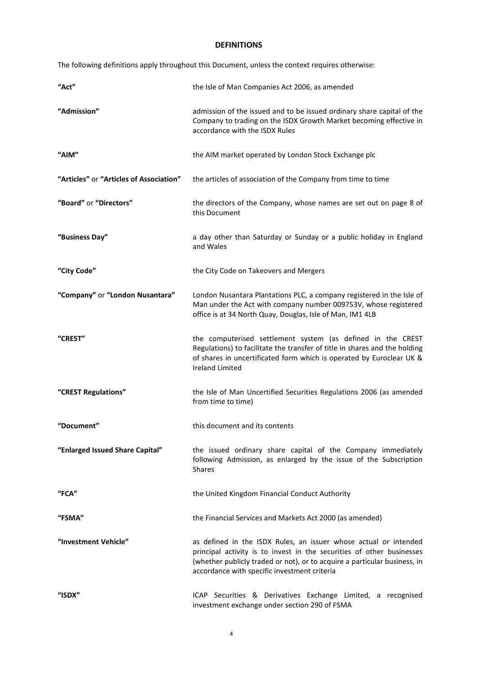# DEFINITIONS

The following definitions apply throughout this Document, unless the context requires otherwise:

| "Act"                                   | the Isle of Man Companies Act 2006, as amended                                                                                                                                                                                                                         |  |  |
|-----------------------------------------|------------------------------------------------------------------------------------------------------------------------------------------------------------------------------------------------------------------------------------------------------------------------|--|--|
| "Admission"                             | admission of the issued and to be issued ordinary share capital of the<br>Company to trading on the ISDX Growth Market becoming effective in<br>accordance with the ISDX Rules                                                                                         |  |  |
| "AIM"                                   | the AIM market operated by London Stock Exchange plc                                                                                                                                                                                                                   |  |  |
| "Articles" or "Articles of Association" | the articles of association of the Company from time to time                                                                                                                                                                                                           |  |  |
| "Board" or "Directors"                  | the directors of the Company, whose names are set out on page 8 of<br>this Document                                                                                                                                                                                    |  |  |
| "Business Day"                          | a day other than Saturday or Sunday or a public holiday in England<br>and Wales                                                                                                                                                                                        |  |  |
| "City Code"                             | the City Code on Takeovers and Mergers                                                                                                                                                                                                                                 |  |  |
| "Company" or "London Nusantara"         | London Nusantara Plantations PLC, a company registered in the Isle of<br>Man under the Act with company number 009753V, whose registered<br>office is at 34 North Quay, Douglas, Isle of Man, IM1 4LB                                                                  |  |  |
| "CREST"                                 | the computerised settlement system (as defined in the CREST<br>Regulations) to facilitate the transfer of title in shares and the holding<br>of shares in uncertificated form which is operated by Euroclear UK &<br><b>Ireland Limited</b>                            |  |  |
| "CREST Regulations"                     | the Isle of Man Uncertified Securities Regulations 2006 (as amended<br>from time to time)                                                                                                                                                                              |  |  |
| "Document"                              | this document and its contents                                                                                                                                                                                                                                         |  |  |
| "Enlarged Issued Share Capital"         | the issued ordinary share capital of the Company immediately<br>following Admission, as enlarged by the issue of the Subscription<br><b>Shares</b>                                                                                                                     |  |  |
| "FCA"                                   | the United Kingdom Financial Conduct Authority                                                                                                                                                                                                                         |  |  |
| "FSMA"                                  | the Financial Services and Markets Act 2000 (as amended)                                                                                                                                                                                                               |  |  |
| "Investment Vehicle"                    | as defined in the ISDX Rules, an issuer whose actual or intended<br>principal activity is to invest in the securities of other businesses<br>(whether publicly traded or not), or to acquire a particular business, in<br>accordance with specific investment criteria |  |  |
| "ISDX"                                  | ICAP Securities & Derivatives Exchange Limited, a recognised<br>investment exchange under section 290 of FSMA                                                                                                                                                          |  |  |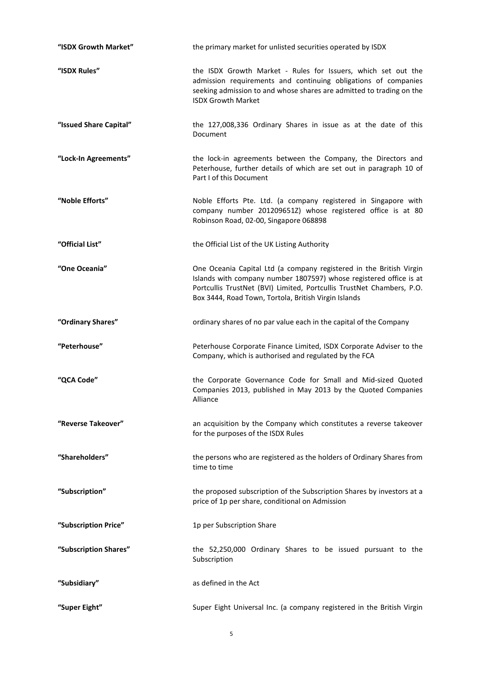| "ISDX Growth Market"   | the primary market for unlisted securities operated by ISDX                                                                                                                                                                                                                |
|------------------------|----------------------------------------------------------------------------------------------------------------------------------------------------------------------------------------------------------------------------------------------------------------------------|
| "ISDX Rules"           | the ISDX Growth Market - Rules for Issuers, which set out the<br>admission requirements and continuing obligations of companies<br>seeking admission to and whose shares are admitted to trading on the<br><b>ISDX Growth Market</b>                                       |
| "Issued Share Capital" | the 127,008,336 Ordinary Shares in issue as at the date of this<br>Document                                                                                                                                                                                                |
| "Lock-In Agreements"   | the lock-in agreements between the Company, the Directors and<br>Peterhouse, further details of which are set out in paragraph 10 of<br>Part I of this Document                                                                                                            |
| "Noble Efforts"        | Noble Efforts Pte. Ltd. (a company registered in Singapore with<br>company number 201209651Z) whose registered office is at 80<br>Robinson Road, 02-00, Singapore 068898                                                                                                   |
| "Official List"        | the Official List of the UK Listing Authority                                                                                                                                                                                                                              |
| "One Oceania"          | One Oceania Capital Ltd (a company registered in the British Virgin<br>Islands with company number 1807597) whose registered office is at<br>Portcullis TrustNet (BVI) Limited, Portcullis TrustNet Chambers, P.O.<br>Box 3444, Road Town, Tortola, British Virgin Islands |
| "Ordinary Shares"      | ordinary shares of no par value each in the capital of the Company                                                                                                                                                                                                         |
| "Peterhouse"           | Peterhouse Corporate Finance Limited, ISDX Corporate Adviser to the<br>Company, which is authorised and regulated by the FCA                                                                                                                                               |
| "QCA Code"             | the Corporate Governance Code for Small and Mid-sized Quoted<br>Companies 2013, published in May 2013 by the Quoted Companies<br>Alliance                                                                                                                                  |
| "Reverse Takeover"     | an acquisition by the Company which constitutes a reverse takeover<br>for the purposes of the ISDX Rules                                                                                                                                                                   |
| "Shareholders"         | the persons who are registered as the holders of Ordinary Shares from<br>time to time                                                                                                                                                                                      |
| "Subscription"         | the proposed subscription of the Subscription Shares by investors at a<br>price of 1p per share, conditional on Admission                                                                                                                                                  |
| "Subscription Price"   | 1p per Subscription Share                                                                                                                                                                                                                                                  |
| "Subscription Shares"  | the 52,250,000 Ordinary Shares to be issued pursuant to the<br>Subscription                                                                                                                                                                                                |
| "Subsidiary"           | as defined in the Act                                                                                                                                                                                                                                                      |
| "Super Eight"          | Super Eight Universal Inc. (a company registered in the British Virgin                                                                                                                                                                                                     |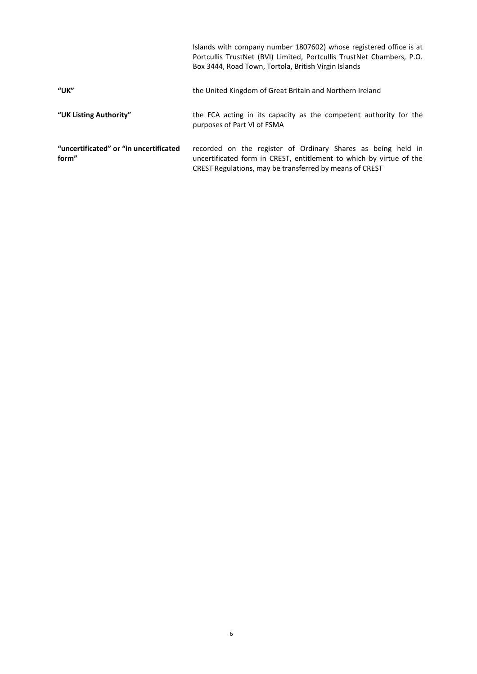|                                                 | Islands with company number 1807602) whose registered office is at<br>Portcullis TrustNet (BVI) Limited, Portcullis TrustNet Chambers, P.O.<br>Box 3444, Road Town, Tortola, British Virgin Islands |
|-------------------------------------------------|-----------------------------------------------------------------------------------------------------------------------------------------------------------------------------------------------------|
| $^{\prime\prime}$ UK"                           | the United Kingdom of Great Britain and Northern Ireland                                                                                                                                            |
| "UK Listing Authority"                          | the FCA acting in its capacity as the competent authority for the<br>purposes of Part VI of FSMA                                                                                                    |
| "uncertificated" or "in uncertificated<br>form" | recorded on the register of Ordinary Shares as being held in<br>uncertificated form in CREST, entitlement to which by virtue of the<br>CREST Regulations, may be transferred by means of CREST      |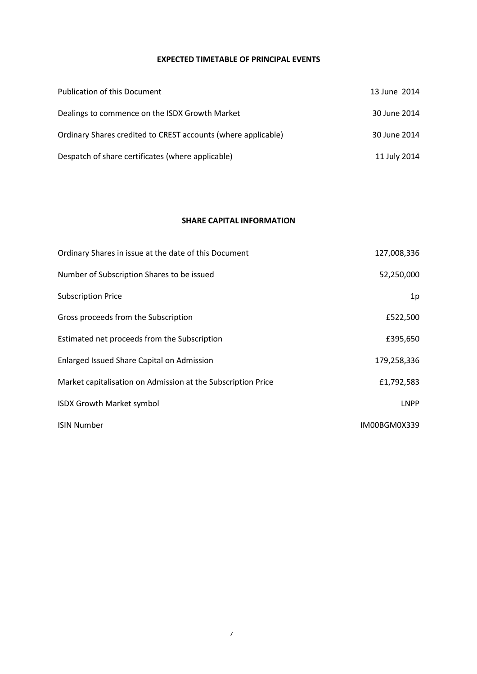# EXPECTED TIMETABLE OF PRINCIPAL EVENTS

| <b>Publication of this Document</b>                           | 13 June 2014 |
|---------------------------------------------------------------|--------------|
| Dealings to commence on the ISDX Growth Market                | 30 June 2014 |
| Ordinary Shares credited to CREST accounts (where applicable) | 30 June 2014 |
| Despatch of share certificates (where applicable)             | 11 July 2014 |

### SHARE CAPITAL INFORMATION

| Ordinary Shares in issue at the date of this Document        | 127,008,336  |
|--------------------------------------------------------------|--------------|
| Number of Subscription Shares to be issued                   | 52,250,000   |
| <b>Subscription Price</b>                                    | 1p           |
| Gross proceeds from the Subscription                         | £522,500     |
| Estimated net proceeds from the Subscription                 | £395,650     |
| Enlarged Issued Share Capital on Admission                   | 179,258,336  |
| Market capitalisation on Admission at the Subscription Price | £1,792,583   |
| <b>ISDX Growth Market symbol</b>                             | <b>LNPP</b>  |
| <b>ISIN Number</b>                                           | IM00BGM0X339 |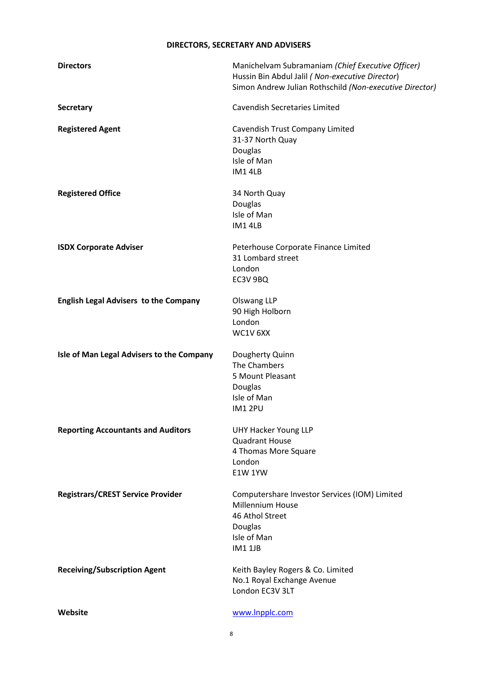# DIRECTORS, SECRETARY AND ADVISERS

| <b>Directors</b>                             | Manichelvam Subramaniam (Chief Executive Officer)<br>Hussin Bin Abdul Jalil (Non-executive Director)<br>Simon Andrew Julian Rothschild (Non-executive Director) |
|----------------------------------------------|-----------------------------------------------------------------------------------------------------------------------------------------------------------------|
| <b>Secretary</b>                             | <b>Cavendish Secretaries Limited</b>                                                                                                                            |
| <b>Registered Agent</b>                      | Cavendish Trust Company Limited<br>31-37 North Quay<br>Douglas<br>Isle of Man<br><b>IM14LB</b>                                                                  |
| <b>Registered Office</b>                     | 34 North Quay<br>Douglas<br>Isle of Man<br><b>IM14LB</b>                                                                                                        |
| <b>ISDX Corporate Adviser</b>                | Peterhouse Corporate Finance Limited<br>31 Lombard street<br>London<br>EC3V 9BQ                                                                                 |
| <b>English Legal Advisers to the Company</b> | Olswang LLP<br>90 High Holborn<br>London<br>WC1V 6XX                                                                                                            |
| Isle of Man Legal Advisers to the Company    | Dougherty Quinn<br>The Chambers<br>5 Mount Pleasant<br>Douglas<br>Isle of Man<br><b>IM12PU</b>                                                                  |
| <b>Reporting Accountants and Auditors</b>    | <b>UHY Hacker Young LLP</b><br><b>Quadrant House</b><br>4 Thomas More Square<br>London<br><b>E1W 1YW</b>                                                        |
| <b>Registrars/CREST Service Provider</b>     | Computershare Investor Services (IOM) Limited<br><b>Millennium House</b><br>46 Athol Street<br>Douglas<br>Isle of Man<br><b>IM1 1JB</b>                         |
| <b>Receiving/Subscription Agent</b>          | Keith Bayley Rogers & Co. Limited<br>No.1 Royal Exchange Avenue<br>London EC3V 3LT                                                                              |
| Website                                      | www.Inpplc.com                                                                                                                                                  |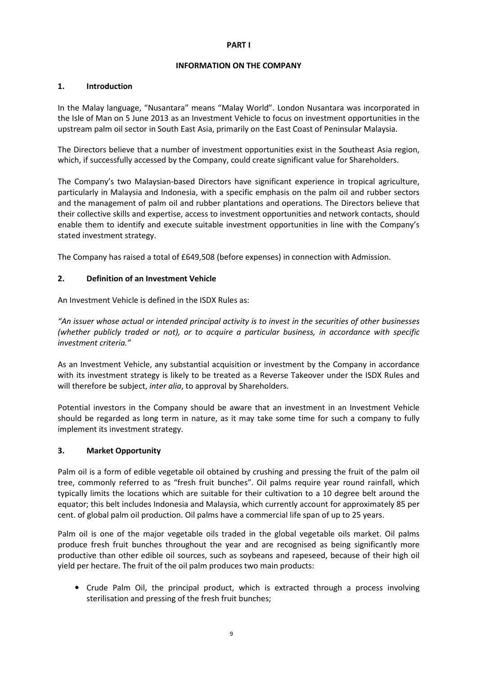# PART I

# INFORMATION ON THE COMPANY

# 1. Introduction

In the Malay language, "Nusantara" means "Malay World". London Nusantara was incorporated in the Isle of Man on 5 June 2013 as an Investment Vehicle to focus on investment opportunities in the upstream palm oil sector in South East Asia, primarily on the East Coast of Peninsular Malaysia.

The Directors believe that a number of investment opportunities exist in the Southeast Asia region, which, if successfully accessed by the Company, could create significant value for Shareholders.

The Company's two Malaysian-based Directors have significant experience in tropical agriculture, particularly in Malaysia and Indonesia, with a specific emphasis on the palm oil and rubber sectors and the management of palm oil and rubber plantations and operations. The Directors believe that their collective skills and expertise, access to investment opportunities and network contacts, should enable them to identify and execute suitable investment opportunities in line with the Company's stated investment strategy.

The Company has raised a total of £649,508 (before expenses) in connection with Admission.

# 2. Definition of an Investment Vehicle

An Investment Vehicle is defined in the ISDX Rules as:

"An issuer whose actual or intended principal activity is to invest in the securities of other businesses (whether publicly traded or not), or to acquire a particular business, in accordance with specific investment criteria."

 As an Investment Vehicle, any substantial acquisition or investment by the Company in accordance with its investment strategy is likely to be treated as a Reverse Takeover under the ISDX Rules and will therefore be subject, *inter alia*, to approval by Shareholders.

Potential investors in the Company should be aware that an investment in an Investment Vehicle should be regarded as long term in nature, as it may take some time for such a company to fully implement its investment strategy.

# 3. Market Opportunity

Palm oil is a form of edible vegetable oil obtained by crushing and pressing the fruit of the palm oil tree, commonly referred to as "fresh fruit bunches". Oil palms require year round rainfall, which typically limits the locations which are suitable for their cultivation to a 10 degree belt around the equator; this belt includes Indonesia and Malaysia, which currently account for approximately 85 per cent. of global palm oil production. Oil palms have a commercial life span of up to 25 years.

Palm oil is one of the major vegetable oils traded in the global vegetable oils market. Oil palms produce fresh fruit bunches throughout the year and are recognised as being significantly more productive than other edible oil sources, such as soybeans and rapeseed, because of their high oil yield per hectare. The fruit of the oil palm produces two main products:

• Crude Palm Oil, the principal product, which is extracted through a process involving sterilisation and pressing of the fresh fruit bunches;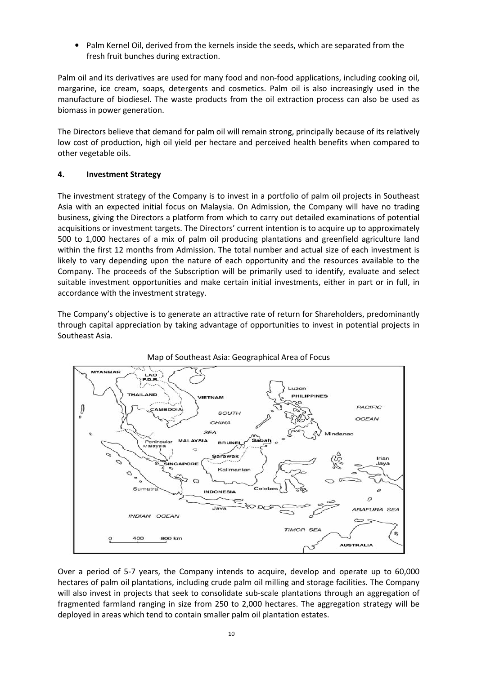• Palm Kernel Oil, derived from the kernels inside the seeds, which are separated from the fresh fruit bunches during extraction.

Palm oil and its derivatives are used for many food and non-food applications, including cooking oil, margarine, ice cream, soaps, detergents and cosmetics. Palm oil is also increasingly used in the manufacture of biodiesel. The waste products from the oil extraction process can also be used as biomass in power generation.

The Directors believe that demand for palm oil will remain strong, principally because of its relatively low cost of production, high oil yield per hectare and perceived health benefits when compared to other vegetable oils.

# 4. Investment Strategy

The investment strategy of the Company is to invest in a portfolio of palm oil projects in Southeast Asia with an expected initial focus on Malaysia. On Admission, the Company will have no trading business, giving the Directors a platform from which to carry out detailed examinations of potential acquisitions or investment targets. The Directors' current intention is to acquire up to approximately 500 to 1,000 hectares of a mix of palm oil producing plantations and greenfield agriculture land within the first 12 months from Admission. The total number and actual size of each investment is likely to vary depending upon the nature of each opportunity and the resources available to the Company. The proceeds of the Subscription will be primarily used to identify, evaluate and select suitable investment opportunities and make certain initial investments, either in part or in full, in accordance with the investment strategy.

The Company's objective is to generate an attractive rate of return for Shareholders, predominantly through capital appreciation by taking advantage of opportunities to invest in potential projects in Southeast Asia.





Over a period of 5-7 years, the Company intends to acquire, develop and operate up to 60,000 hectares of palm oil plantations, including crude palm oil milling and storage facilities. The Company will also invest in projects that seek to consolidate sub-scale plantations through an aggregation of fragmented farmland ranging in size from 250 to 2,000 hectares. The aggregation strategy will be deployed in areas which tend to contain smaller palm oil plantation estates.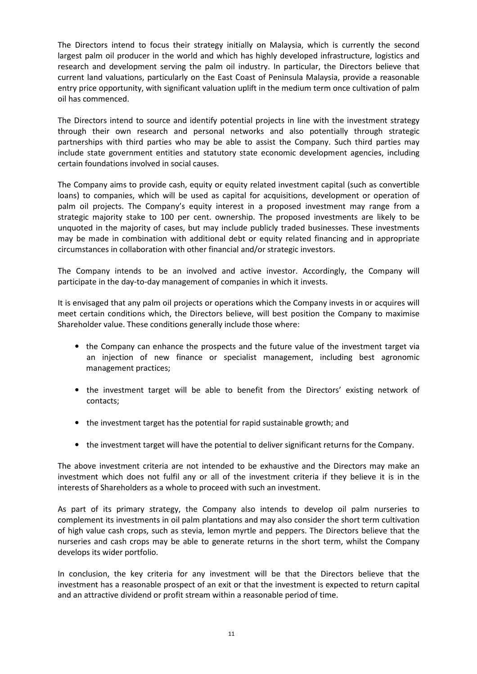The Directors intend to focus their strategy initially on Malaysia, which is currently the second largest palm oil producer in the world and which has highly developed infrastructure, logistics and research and development serving the palm oil industry. In particular, the Directors believe that current land valuations, particularly on the East Coast of Peninsula Malaysia, provide a reasonable entry price opportunity, with significant valuation uplift in the medium term once cultivation of palm oil has commenced.

The Directors intend to source and identify potential projects in line with the investment strategy through their own research and personal networks and also potentially through strategic partnerships with third parties who may be able to assist the Company. Such third parties may include state government entities and statutory state economic development agencies, including certain foundations involved in social causes.

The Company aims to provide cash, equity or equity related investment capital (such as convertible loans) to companies, which will be used as capital for acquisitions, development or operation of palm oil projects. The Company's equity interest in a proposed investment may range from a strategic majority stake to 100 per cent. ownership. The proposed investments are likely to be unquoted in the majority of cases, but may include publicly traded businesses. These investments may be made in combination with additional debt or equity related financing and in appropriate circumstances in collaboration with other financial and/or strategic investors.

The Company intends to be an involved and active investor. Accordingly, the Company will participate in the day-to-day management of companies in which it invests.

It is envisaged that any palm oil projects or operations which the Company invests in or acquires will meet certain conditions which, the Directors believe, will best position the Company to maximise Shareholder value. These conditions generally include those where:

- the Company can enhance the prospects and the future value of the investment target via an injection of new finance or specialist management, including best agronomic management practices;
- the investment target will be able to benefit from the Directors' existing network of contacts;
- the investment target has the potential for rapid sustainable growth; and
- the investment target will have the potential to deliver significant returns for the Company.

The above investment criteria are not intended to be exhaustive and the Directors may make an investment which does not fulfil any or all of the investment criteria if they believe it is in the interests of Shareholders as a whole to proceed with such an investment.

As part of its primary strategy, the Company also intends to develop oil palm nurseries to complement its investments in oil palm plantations and may also consider the short term cultivation of high value cash crops, such as stevia, lemon myrtle and peppers. The Directors believe that the nurseries and cash crops may be able to generate returns in the short term, whilst the Company develops its wider portfolio.

In conclusion, the key criteria for any investment will be that the Directors believe that the investment has a reasonable prospect of an exit or that the investment is expected to return capital and an attractive dividend or profit stream within a reasonable period of time.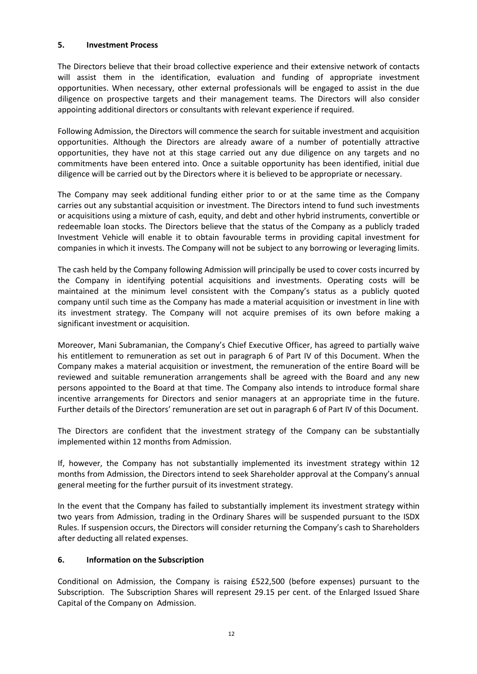# 5. Investment Process

The Directors believe that their broad collective experience and their extensive network of contacts will assist them in the identification, evaluation and funding of appropriate investment opportunities. When necessary, other external professionals will be engaged to assist in the due diligence on prospective targets and their management teams. The Directors will also consider appointing additional directors or consultants with relevant experience if required.

Following Admission, the Directors will commence the search for suitable investment and acquisition opportunities. Although the Directors are already aware of a number of potentially attractive opportunities, they have not at this stage carried out any due diligence on any targets and no commitments have been entered into. Once a suitable opportunity has been identified, initial due diligence will be carried out by the Directors where it is believed to be appropriate or necessary.

The Company may seek additional funding either prior to or at the same time as the Company carries out any substantial acquisition or investment. The Directors intend to fund such investments or acquisitions using a mixture of cash, equity, and debt and other hybrid instruments, convertible or redeemable loan stocks. The Directors believe that the status of the Company as a publicly traded Investment Vehicle will enable it to obtain favourable terms in providing capital investment for companies in which it invests. The Company will not be subject to any borrowing or leveraging limits.

The cash held by the Company following Admission will principally be used to cover costs incurred by the Company in identifying potential acquisitions and investments. Operating costs will be maintained at the minimum level consistent with the Company's status as a publicly quoted company until such time as the Company has made a material acquisition or investment in line with its investment strategy. The Company will not acquire premises of its own before making a significant investment or acquisition.

Moreover, Mani Subramanian, the Company's Chief Executive Officer, has agreed to partially waive his entitlement to remuneration as set out in paragraph 6 of Part IV of this Document. When the Company makes a material acquisition or investment, the remuneration of the entire Board will be reviewed and suitable remuneration arrangements shall be agreed with the Board and any new persons appointed to the Board at that time. The Company also intends to introduce formal share incentive arrangements for Directors and senior managers at an appropriate time in the future. Further details of the Directors' remuneration are set out in paragraph 6 of Part IV of this Document.

The Directors are confident that the investment strategy of the Company can be substantially implemented within 12 months from Admission.

If, however, the Company has not substantially implemented its investment strategy within 12 months from Admission, the Directors intend to seek Shareholder approval at the Company's annual general meeting for the further pursuit of its investment strategy.

In the event that the Company has failed to substantially implement its investment strategy within two years from Admission, trading in the Ordinary Shares will be suspended pursuant to the ISDX Rules. If suspension occurs, the Directors will consider returning the Company's cash to Shareholders after deducting all related expenses.

# 6. Information on the Subscription

Conditional on Admission, the Company is raising £522,500 (before expenses) pursuant to the Subscription. The Subscription Shares will represent 29.15 per cent. of the Enlarged Issued Share Capital of the Company on Admission.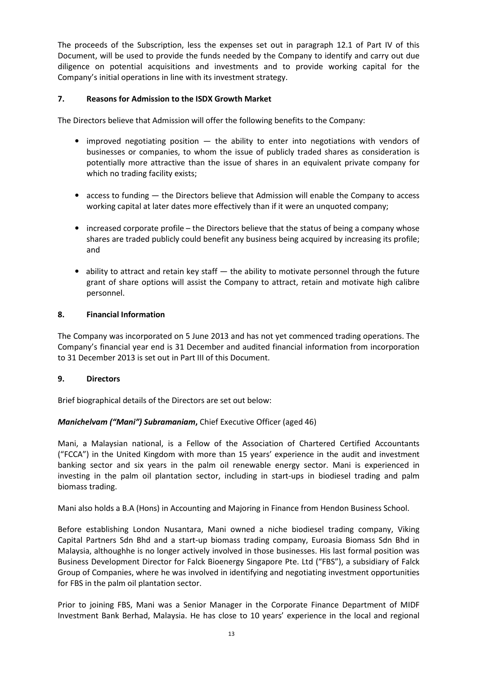The proceeds of the Subscription, less the expenses set out in paragraph 12.1 of Part IV of this Document, will be used to provide the funds needed by the Company to identify and carry out due diligence on potential acquisitions and investments and to provide working capital for the Company's initial operations in line with its investment strategy.

# 7. Reasons for Admission to the ISDX Growth Market

The Directors believe that Admission will offer the following benefits to the Company:

- improved negotiating position  $-$  the ability to enter into negotiations with vendors of businesses or companies, to whom the issue of publicly traded shares as consideration is potentially more attractive than the issue of shares in an equivalent private company for which no trading facility exists;
- access to funding the Directors believe that Admission will enable the Company to access working capital at later dates more effectively than if it were an unquoted company;
- increased corporate profile the Directors believe that the status of being a company whose shares are traded publicly could benefit any business being acquired by increasing its profile; and
- ability to attract and retain key staff the ability to motivate personnel through the future grant of share options will assist the Company to attract, retain and motivate high calibre personnel.

# 8. Financial Information

The Company was incorporated on 5 June 2013 and has not yet commenced trading operations. The Company's financial year end is 31 December and audited financial information from incorporation to 31 December 2013 is set out in Part III of this Document.

# 9. Directors

Brief biographical details of the Directors are set out below:

# Manichelvam ("Mani") Subramaniam, Chief Executive Officer (aged 46)

Mani, a Malaysian national, is a Fellow of the Association of Chartered Certified Accountants ("FCCA") in the United Kingdom with more than 15 years' experience in the audit and investment banking sector and six years in the palm oil renewable energy sector. Mani is experienced in investing in the palm oil plantation sector, including in start-ups in biodiesel trading and palm biomass trading.

Mani also holds a B.A (Hons) in Accounting and Majoring in Finance from Hendon Business School.

Before establishing London Nusantara, Mani owned a niche biodiesel trading company, Viking Capital Partners Sdn Bhd and a start-up biomass trading company, Euroasia Biomass Sdn Bhd in Malaysia, althoughhe is no longer actively involved in those businesses. His last formal position was Business Development Director for Falck Bioenergy Singapore Pte. Ltd ("FBS"), a subsidiary of Falck Group of Companies, where he was involved in identifying and negotiating investment opportunities for FBS in the palm oil plantation sector.

Prior to joining FBS, Mani was a Senior Manager in the Corporate Finance Department of MIDF Investment Bank Berhad, Malaysia. He has close to 10 years' experience in the local and regional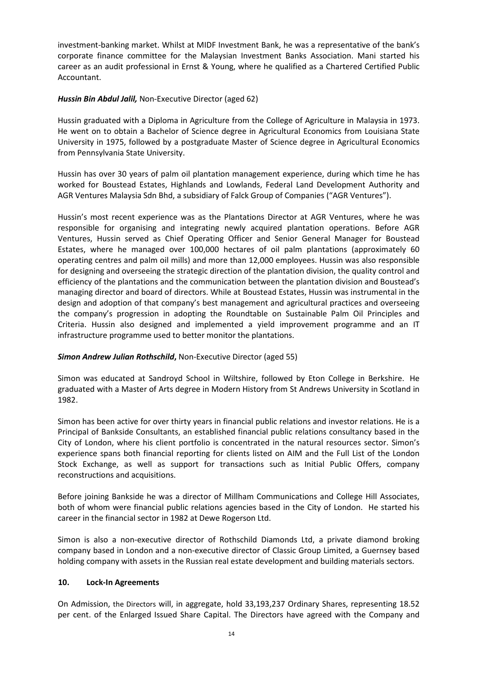investment-banking market. Whilst at MIDF Investment Bank, he was a representative of the bank's corporate finance committee for the Malaysian Investment Banks Association. Mani started his career as an audit professional in Ernst & Young, where he qualified as a Chartered Certified Public Accountant.

Hussin Bin Abdul Jalil, Non-Executive Director (aged 62)

Hussin graduated with a Diploma in Agriculture from the College of Agriculture in Malaysia in 1973. He went on to obtain a Bachelor of Science degree in Agricultural Economics from Louisiana State University in 1975, followed by a postgraduate Master of Science degree in Agricultural Economics from Pennsylvania State University.

Hussin has over 30 years of palm oil plantation management experience, during which time he has worked for Boustead Estates, Highlands and Lowlands, Federal Land Development Authority and AGR Ventures Malaysia Sdn Bhd, a subsidiary of Falck Group of Companies ("AGR Ventures").

Hussin's most recent experience was as the Plantations Director at AGR Ventures, where he was responsible for organising and integrating newly acquired plantation operations. Before AGR Ventures, Hussin served as Chief Operating Officer and Senior General Manager for Boustead Estates, where he managed over 100,000 hectares of oil palm plantations (approximately 60 operating centres and palm oil mills) and more than 12,000 employees. Hussin was also responsible for designing and overseeing the strategic direction of the plantation division, the quality control and efficiency of the plantations and the communication between the plantation division and Boustead's managing director and board of directors. While at Boustead Estates, Hussin was instrumental in the design and adoption of that company's best management and agricultural practices and overseeing the company's progression in adopting the Roundtable on Sustainable Palm Oil Principles and Criteria. Hussin also designed and implemented a yield improvement programme and an IT infrastructure programme used to better monitor the plantations.

Simon Andrew Julian Rothschild, Non-Executive Director (aged 55)

Simon was educated at Sandroyd School in Wiltshire, followed by Eton College in Berkshire. He graduated with a Master of Arts degree in Modern History from St Andrews University in Scotland in 1982.

Simon has been active for over thirty years in financial public relations and investor relations. He is a Principal of Bankside Consultants, an established financial public relations consultancy based in the City of London, where his client portfolio is concentrated in the natural resources sector. Simon's experience spans both financial reporting for clients listed on AIM and the Full List of the London Stock Exchange, as well as support for transactions such as Initial Public Offers, company reconstructions and acquisitions.

Before joining Bankside he was a director of Millham Communications and College Hill Associates, both of whom were financial public relations agencies based in the City of London. He started his career in the financial sector in 1982 at Dewe Rogerson Ltd.

Simon is also a non-executive director of Rothschild Diamonds Ltd, a private diamond broking company based in London and a non-executive director of Classic Group Limited, a Guernsey based holding company with assets in the Russian real estate development and building materials sectors.

# 10. Lock-In Agreements

On Admission, the Directors will, in aggregate, hold 33,193,237 Ordinary Shares, representing 18.52 per cent. of the Enlarged Issued Share Capital. The Directors have agreed with the Company and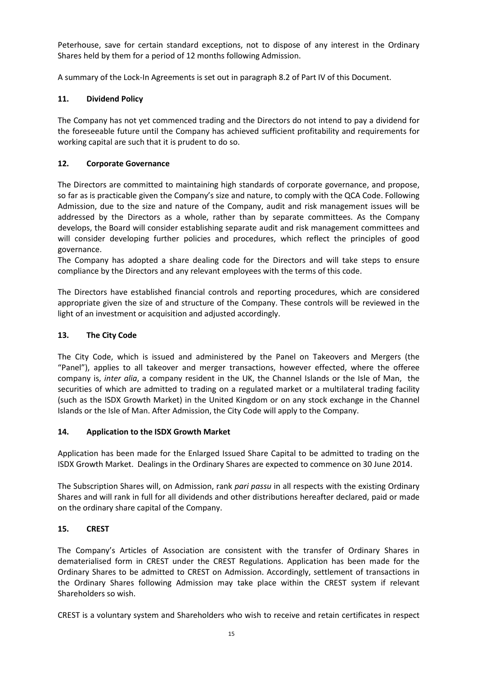Peterhouse, save for certain standard exceptions, not to dispose of any interest in the Ordinary Shares held by them for a period of 12 months following Admission.

A summary of the Lock-In Agreements is set out in paragraph 8.2 of Part IV of this Document.

# 11. Dividend Policy

The Company has not yet commenced trading and the Directors do not intend to pay a dividend for the foreseeable future until the Company has achieved sufficient profitability and requirements for working capital are such that it is prudent to do so.

# 12. Corporate Governance

The Directors are committed to maintaining high standards of corporate governance, and propose, so far as is practicable given the Company's size and nature, to comply with the QCA Code. Following Admission, due to the size and nature of the Company, audit and risk management issues will be addressed by the Directors as a whole, rather than by separate committees. As the Company develops, the Board will consider establishing separate audit and risk management committees and will consider developing further policies and procedures, which reflect the principles of good governance.

The Company has adopted a share dealing code for the Directors and will take steps to ensure compliance by the Directors and any relevant employees with the terms of this code.

The Directors have established financial controls and reporting procedures, which are considered appropriate given the size of and structure of the Company. These controls will be reviewed in the light of an investment or acquisition and adjusted accordingly.

# 13. The City Code

The City Code, which is issued and administered by the Panel on Takeovers and Mergers (the "Panel"), applies to all takeover and merger transactions, however effected, where the offeree company is, inter alia, a company resident in the UK, the Channel Islands or the Isle of Man, the securities of which are admitted to trading on a regulated market or a multilateral trading facility (such as the ISDX Growth Market) in the United Kingdom or on any stock exchange in the Channel Islands or the Isle of Man. After Admission, the City Code will apply to the Company.

# 14. Application to the ISDX Growth Market

Application has been made for the Enlarged Issued Share Capital to be admitted to trading on the ISDX Growth Market. Dealings in the Ordinary Shares are expected to commence on 30 June 2014.

The Subscription Shares will, on Admission, rank pari passu in all respects with the existing Ordinary Shares and will rank in full for all dividends and other distributions hereafter declared, paid or made on the ordinary share capital of the Company.

# 15. CREST

The Company's Articles of Association are consistent with the transfer of Ordinary Shares in dematerialised form in CREST under the CREST Regulations. Application has been made for the Ordinary Shares to be admitted to CREST on Admission. Accordingly, settlement of transactions in the Ordinary Shares following Admission may take place within the CREST system if relevant Shareholders so wish.

CREST is a voluntary system and Shareholders who wish to receive and retain certificates in respect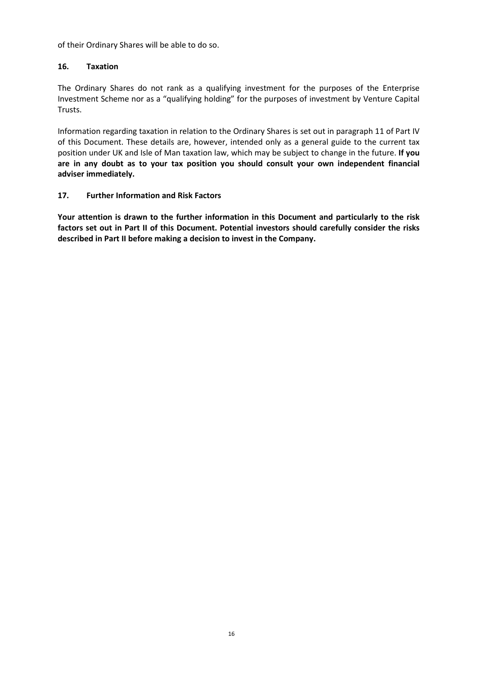of their Ordinary Shares will be able to do so.

# 16. Taxation

The Ordinary Shares do not rank as a qualifying investment for the purposes of the Enterprise Investment Scheme nor as a "qualifying holding" for the purposes of investment by Venture Capital Trusts.

Information regarding taxation in relation to the Ordinary Shares is set out in paragraph 11 of Part IV of this Document. These details are, however, intended only as a general guide to the current tax position under UK and Isle of Man taxation law, which may be subject to change in the future. If you are in any doubt as to your tax position you should consult your own independent financial adviser immediately.

# 17. Further Information and Risk Factors

Your attention is drawn to the further information in this Document and particularly to the risk factors set out in Part II of this Document. Potential investors should carefully consider the risks described in Part II before making a decision to invest in the Company.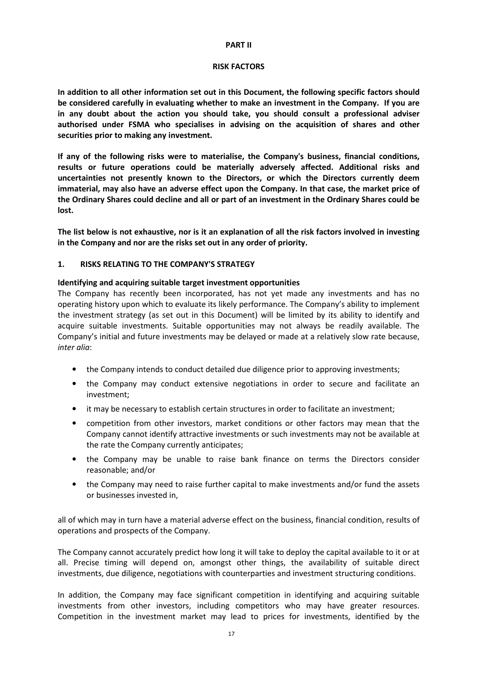### PART II

### RISK FACTORS

In addition to all other information set out in this Document, the following specific factors should be considered carefully in evaluating whether to make an investment in the Company. If you are in any doubt about the action you should take, you should consult a professional adviser authorised under FSMA who specialises in advising on the acquisition of shares and other securities prior to making any investment.

If any of the following risks were to materialise, the Company's business, financial conditions, results or future operations could be materially adversely affected. Additional risks and uncertainties not presently known to the Directors, or which the Directors currently deem immaterial, may also have an adverse effect upon the Company. In that case, the market price of the Ordinary Shares could decline and all or part of an investment in the Ordinary Shares could be lost.

The list below is not exhaustive, nor is it an explanation of all the risk factors involved in investing in the Company and nor are the risks set out in any order of priority.

# 1. RISKS RELATING TO THE COMPANY'S STRATEGY

# Identifying and acquiring suitable target investment opportunities

The Company has recently been incorporated, has not yet made any investments and has no operating history upon which to evaluate its likely performance. The Company's ability to implement the investment strategy (as set out in this Document) will be limited by its ability to identify and acquire suitable investments. Suitable opportunities may not always be readily available. The Company's initial and future investments may be delayed or made at a relatively slow rate because, inter alia:

- the Company intends to conduct detailed due diligence prior to approving investments;
- the Company may conduct extensive negotiations in order to secure and facilitate an investment;
- it may be necessary to establish certain structures in order to facilitate an investment;
- competition from other investors, market conditions or other factors may mean that the Company cannot identify attractive investments or such investments may not be available at the rate the Company currently anticipates;
- the Company may be unable to raise bank finance on terms the Directors consider reasonable; and/or
- the Company may need to raise further capital to make investments and/or fund the assets or businesses invested in,

all of which may in turn have a material adverse effect on the business, financial condition, results of operations and prospects of the Company.

The Company cannot accurately predict how long it will take to deploy the capital available to it or at all. Precise timing will depend on, amongst other things, the availability of suitable direct investments, due diligence, negotiations with counterparties and investment structuring conditions.

In addition, the Company may face significant competition in identifying and acquiring suitable investments from other investors, including competitors who may have greater resources. Competition in the investment market may lead to prices for investments, identified by the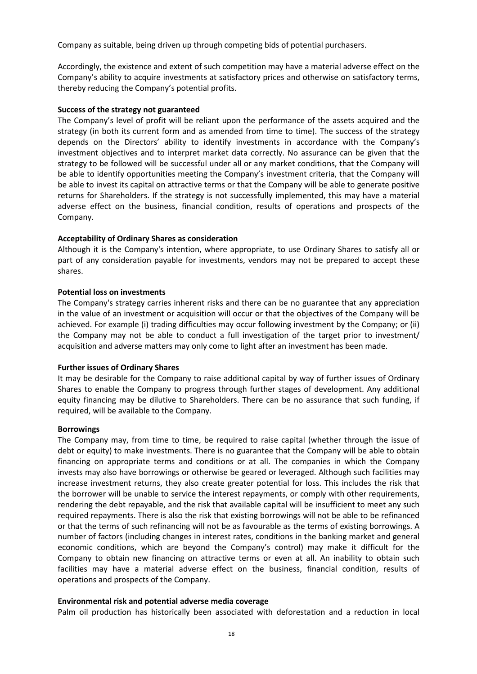Company as suitable, being driven up through competing bids of potential purchasers.

Accordingly, the existence and extent of such competition may have a material adverse effect on the Company's ability to acquire investments at satisfactory prices and otherwise on satisfactory terms, thereby reducing the Company's potential profits.

### Success of the strategy not guaranteed

The Company's level of profit will be reliant upon the performance of the assets acquired and the strategy (in both its current form and as amended from time to time). The success of the strategy depends on the Directors' ability to identify investments in accordance with the Company's investment objectives and to interpret market data correctly. No assurance can be given that the strategy to be followed will be successful under all or any market conditions, that the Company will be able to identify opportunities meeting the Company's investment criteria, that the Company will be able to invest its capital on attractive terms or that the Company will be able to generate positive returns for Shareholders. If the strategy is not successfully implemented, this may have a material adverse effect on the business, financial condition, results of operations and prospects of the Company.

### Acceptability of Ordinary Shares as consideration

Although it is the Company's intention, where appropriate, to use Ordinary Shares to satisfy all or part of any consideration payable for investments, vendors may not be prepared to accept these shares.

### Potential loss on investments

The Company's strategy carries inherent risks and there can be no guarantee that any appreciation in the value of an investment or acquisition will occur or that the objectives of the Company will be achieved. For example (i) trading difficulties may occur following investment by the Company; or (ii) the Company may not be able to conduct a full investigation of the target prior to investment/ acquisition and adverse matters may only come to light after an investment has been made.

### Further issues of Ordinary Shares

It may be desirable for the Company to raise additional capital by way of further issues of Ordinary Shares to enable the Company to progress through further stages of development. Any additional equity financing may be dilutive to Shareholders. There can be no assurance that such funding, if required, will be available to the Company.

### Borrowings

The Company may, from time to time, be required to raise capital (whether through the issue of debt or equity) to make investments. There is no guarantee that the Company will be able to obtain financing on appropriate terms and conditions or at all. The companies in which the Company invests may also have borrowings or otherwise be geared or leveraged. Although such facilities may increase investment returns, they also create greater potential for loss. This includes the risk that the borrower will be unable to service the interest repayments, or comply with other requirements, rendering the debt repayable, and the risk that available capital will be insufficient to meet any such required repayments. There is also the risk that existing borrowings will not be able to be refinanced or that the terms of such refinancing will not be as favourable as the terms of existing borrowings. A number of factors (including changes in interest rates, conditions in the banking market and general economic conditions, which are beyond the Company's control) may make it difficult for the Company to obtain new financing on attractive terms or even at all. An inability to obtain such facilities may have a material adverse effect on the business, financial condition, results of operations and prospects of the Company.

# Environmental risk and potential adverse media coverage

Palm oil production has historically been associated with deforestation and a reduction in local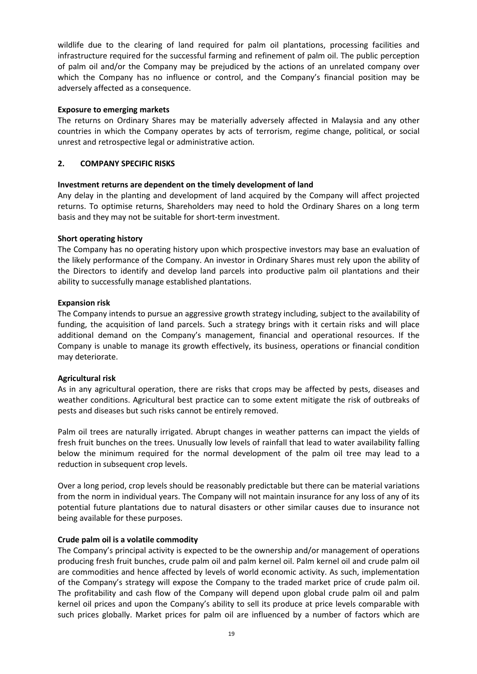wildlife due to the clearing of land required for palm oil plantations, processing facilities and infrastructure required for the successful farming and refinement of palm oil. The public perception of palm oil and/or the Company may be prejudiced by the actions of an unrelated company over which the Company has no influence or control, and the Company's financial position may be adversely affected as a consequence.

# Exposure to emerging markets

The returns on Ordinary Shares may be materially adversely affected in Malaysia and any other countries in which the Company operates by acts of terrorism, regime change, political, or social unrest and retrospective legal or administrative action.

# 2. COMPANY SPECIFIC RISKS

# Investment returns are dependent on the timely development of land

Any delay in the planting and development of land acquired by the Company will affect projected returns. To optimise returns, Shareholders may need to hold the Ordinary Shares on a long term basis and they may not be suitable for short-term investment.

# Short operating history

The Company has no operating history upon which prospective investors may base an evaluation of the likely performance of the Company. An investor in Ordinary Shares must rely upon the ability of the Directors to identify and develop land parcels into productive palm oil plantations and their ability to successfully manage established plantations.

# Expansion risk

The Company intends to pursue an aggressive growth strategy including, subject to the availability of funding, the acquisition of land parcels. Such a strategy brings with it certain risks and will place additional demand on the Company's management, financial and operational resources. If the Company is unable to manage its growth effectively, its business, operations or financial condition may deteriorate.

# Agricultural risk

As in any agricultural operation, there are risks that crops may be affected by pests, diseases and weather conditions. Agricultural best practice can to some extent mitigate the risk of outbreaks of pests and diseases but such risks cannot be entirely removed.

Palm oil trees are naturally irrigated. Abrupt changes in weather patterns can impact the yields of fresh fruit bunches on the trees. Unusually low levels of rainfall that lead to water availability falling below the minimum required for the normal development of the palm oil tree may lead to a reduction in subsequent crop levels.

Over a long period, crop levels should be reasonably predictable but there can be material variations from the norm in individual years. The Company will not maintain insurance for any loss of any of its potential future plantations due to natural disasters or other similar causes due to insurance not being available for these purposes.

# Crude palm oil is a volatile commodity

The Company's principal activity is expected to be the ownership and/or management of operations producing fresh fruit bunches, crude palm oil and palm kernel oil. Palm kernel oil and crude palm oil are commodities and hence affected by levels of world economic activity. As such, implementation of the Company's strategy will expose the Company to the traded market price of crude palm oil. The profitability and cash flow of the Company will depend upon global crude palm oil and palm kernel oil prices and upon the Company's ability to sell its produce at price levels comparable with such prices globally. Market prices for palm oil are influenced by a number of factors which are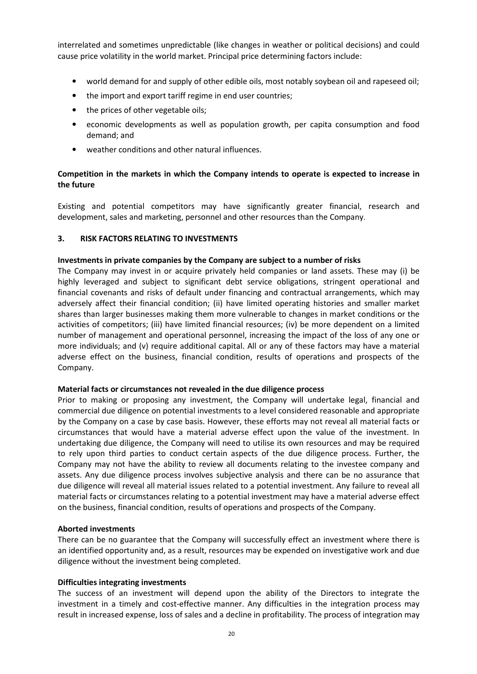interrelated and sometimes unpredictable (like changes in weather or political decisions) and could cause price volatility in the world market. Principal price determining factors include:

- world demand for and supply of other edible oils, most notably soybean oil and rapeseed oil;
- the import and export tariff regime in end user countries;
- the prices of other vegetable oils;
- economic developments as well as population growth, per capita consumption and food demand; and
- weather conditions and other natural influences.

# Competition in the markets in which the Company intends to operate is expected to increase in the future

Existing and potential competitors may have significantly greater financial, research and development, sales and marketing, personnel and other resources than the Company.

# 3. RISK FACTORS RELATING TO INVESTMENTS

# Investments in private companies by the Company are subject to a number of risks

The Company may invest in or acquire privately held companies or land assets. These may (i) be highly leveraged and subject to significant debt service obligations, stringent operational and financial covenants and risks of default under financing and contractual arrangements, which may adversely affect their financial condition; (ii) have limited operating histories and smaller market shares than larger businesses making them more vulnerable to changes in market conditions or the activities of competitors; (iii) have limited financial resources; (iv) be more dependent on a limited number of management and operational personnel, increasing the impact of the loss of any one or more individuals; and (v) require additional capital. All or any of these factors may have a material adverse effect on the business, financial condition, results of operations and prospects of the Company.

# Material facts or circumstances not revealed in the due diligence process

Prior to making or proposing any investment, the Company will undertake legal, financial and commercial due diligence on potential investments to a level considered reasonable and appropriate by the Company on a case by case basis. However, these efforts may not reveal all material facts or circumstances that would have a material adverse effect upon the value of the investment. In undertaking due diligence, the Company will need to utilise its own resources and may be required to rely upon third parties to conduct certain aspects of the due diligence process. Further, the Company may not have the ability to review all documents relating to the investee company and assets. Any due diligence process involves subjective analysis and there can be no assurance that due diligence will reveal all material issues related to a potential investment. Any failure to reveal all material facts or circumstances relating to a potential investment may have a material adverse effect on the business, financial condition, results of operations and prospects of the Company.

# Aborted investments

There can be no guarantee that the Company will successfully effect an investment where there is an identified opportunity and, as a result, resources may be expended on investigative work and due diligence without the investment being completed.

# Difficulties integrating investments

The success of an investment will depend upon the ability of the Directors to integrate the investment in a timely and cost-effective manner. Any difficulties in the integration process may result in increased expense, loss of sales and a decline in profitability. The process of integration may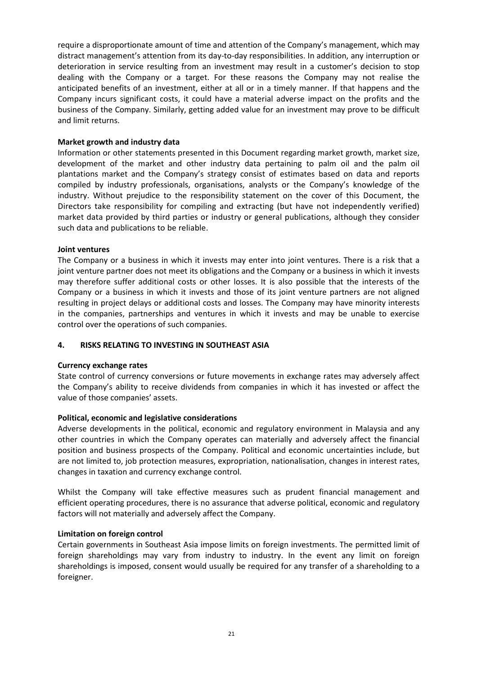require a disproportionate amount of time and attention of the Company's management, which may distract management's attention from its day-to-day responsibilities. In addition, any interruption or deterioration in service resulting from an investment may result in a customer's decision to stop dealing with the Company or a target. For these reasons the Company may not realise the anticipated benefits of an investment, either at all or in a timely manner. If that happens and the Company incurs significant costs, it could have a material adverse impact on the profits and the business of the Company. Similarly, getting added value for an investment may prove to be difficult and limit returns.

# Market growth and industry data

Information or other statements presented in this Document regarding market growth, market size, development of the market and other industry data pertaining to palm oil and the palm oil plantations market and the Company's strategy consist of estimates based on data and reports compiled by industry professionals, organisations, analysts or the Company's knowledge of the industry. Without prejudice to the responsibility statement on the cover of this Document, the Directors take responsibility for compiling and extracting (but have not independently verified) market data provided by third parties or industry or general publications, although they consider such data and publications to be reliable.

# Joint ventures

The Company or a business in which it invests may enter into joint ventures. There is a risk that a joint venture partner does not meet its obligations and the Company or a business in which it invests may therefore suffer additional costs or other losses. It is also possible that the interests of the Company or a business in which it invests and those of its joint venture partners are not aligned resulting in project delays or additional costs and losses. The Company may have minority interests in the companies, partnerships and ventures in which it invests and may be unable to exercise control over the operations of such companies.

# 4. RISKS RELATING TO INVESTING IN SOUTHEAST ASIA

# Currency exchange rates

State control of currency conversions or future movements in exchange rates may adversely affect the Company's ability to receive dividends from companies in which it has invested or affect the value of those companies' assets.

# Political, economic and legislative considerations

Adverse developments in the political, economic and regulatory environment in Malaysia and any other countries in which the Company operates can materially and adversely affect the financial position and business prospects of the Company. Political and economic uncertainties include, but are not limited to, job protection measures, expropriation, nationalisation, changes in interest rates, changes in taxation and currency exchange control.

Whilst the Company will take effective measures such as prudent financial management and efficient operating procedures, there is no assurance that adverse political, economic and regulatory factors will not materially and adversely affect the Company.

# Limitation on foreign control

Certain governments in Southeast Asia impose limits on foreign investments. The permitted limit of foreign shareholdings may vary from industry to industry. In the event any limit on foreign shareholdings is imposed, consent would usually be required for any transfer of a shareholding to a foreigner.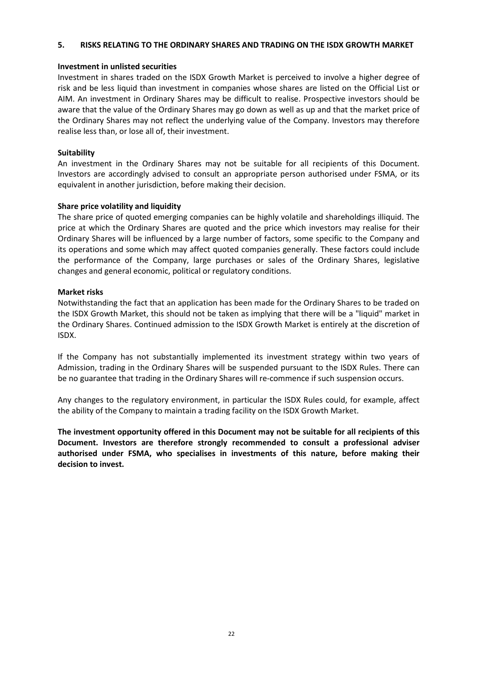### 5. RISKS RELATING TO THE ORDINARY SHARES AND TRADING ON THE ISDX GROWTH MARKET

### Investment in unlisted securities

Investment in shares traded on the ISDX Growth Market is perceived to involve a higher degree of risk and be less liquid than investment in companies whose shares are listed on the Official List or AIM. An investment in Ordinary Shares may be difficult to realise. Prospective investors should be aware that the value of the Ordinary Shares may go down as well as up and that the market price of the Ordinary Shares may not reflect the underlying value of the Company. Investors may therefore realise less than, or lose all of, their investment.

# **Suitability**

An investment in the Ordinary Shares may not be suitable for all recipients of this Document. Investors are accordingly advised to consult an appropriate person authorised under FSMA, or its equivalent in another jurisdiction, before making their decision.

# Share price volatility and liquidity

The share price of quoted emerging companies can be highly volatile and shareholdings illiquid. The price at which the Ordinary Shares are quoted and the price which investors may realise for their Ordinary Shares will be influenced by a large number of factors, some specific to the Company and its operations and some which may affect quoted companies generally. These factors could include the performance of the Company, large purchases or sales of the Ordinary Shares, legislative changes and general economic, political or regulatory conditions.

# Market risks

Notwithstanding the fact that an application has been made for the Ordinary Shares to be traded on the ISDX Growth Market, this should not be taken as implying that there will be a "liquid" market in the Ordinary Shares. Continued admission to the ISDX Growth Market is entirely at the discretion of ISDX.

If the Company has not substantially implemented its investment strategy within two years of Admission, trading in the Ordinary Shares will be suspended pursuant to the ISDX Rules. There can be no guarantee that trading in the Ordinary Shares will re-commence if such suspension occurs.

Any changes to the regulatory environment, in particular the ISDX Rules could, for example, affect the ability of the Company to maintain a trading facility on the ISDX Growth Market.

The investment opportunity offered in this Document may not be suitable for all recipients of this Document. Investors are therefore strongly recommended to consult a professional adviser authorised under FSMA, who specialises in investments of this nature, before making their decision to invest.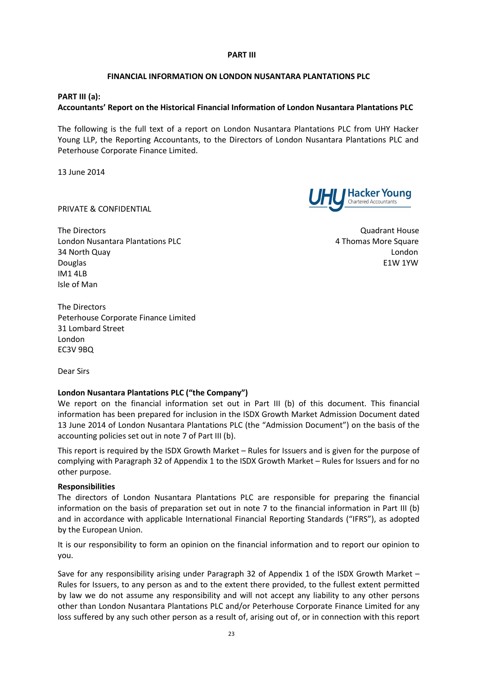### PART III

### FINANCIAL INFORMATION ON LONDON NUSANTARA PLANTATIONS PLC

### PART III (a):

# Accountants' Report on the Historical Financial Information of London Nusantara Plantations PLC

The following is the full text of a report on London Nusantara Plantations PLC from UHY Hacker Young LLP, the Reporting Accountants, to the Directors of London Nusantara Plantations PLC and Peterhouse Corporate Finance Limited.

13 June 2014

PRIVATE & CONFIDENTIAL

The Directors **Contract Contract Contract Contract Contract Contract Contract Contract Contract Contract Contract Contract Contract Contract Contract Contract Contract Contract Contract Contract Contract Contract Contract** London Nusantara Plantations PLC 4 Thomas More Square 34 North Quay London Douglas E1W 1YW IM1 4LB Isle of Man

The Directors Peterhouse Corporate Finance Limited 31 Lombard Street London EC3V 9BQ

Dear Sirs

# London Nusantara Plantations PLC ("the Company")

We report on the financial information set out in Part III (b) of this document. This financial information has been prepared for inclusion in the ISDX Growth Market Admission Document dated 13 June 2014 of London Nusantara Plantations PLC (the "Admission Document") on the basis of the accounting policies set out in note 7 of Part III (b).

This report is required by the ISDX Growth Market – Rules for Issuers and is given for the purpose of complying with Paragraph 32 of Appendix 1 to the ISDX Growth Market – Rules for Issuers and for no other purpose.

### Responsibilities

The directors of London Nusantara Plantations PLC are responsible for preparing the financial information on the basis of preparation set out in note 7 to the financial information in Part III (b) and in accordance with applicable International Financial Reporting Standards ("IFRS"), as adopted by the European Union.

It is our responsibility to form an opinion on the financial information and to report our opinion to you.

Save for any responsibility arising under Paragraph 32 of Appendix 1 of the ISDX Growth Market – Rules for Issuers, to any person as and to the extent there provided, to the fullest extent permitted by law we do not assume any responsibility and will not accept any liability to any other persons other than London Nusantara Plantations PLC and/or Peterhouse Corporate Finance Limited for any loss suffered by any such other person as a result of, arising out of, or in connection with this report



**Hacker Young**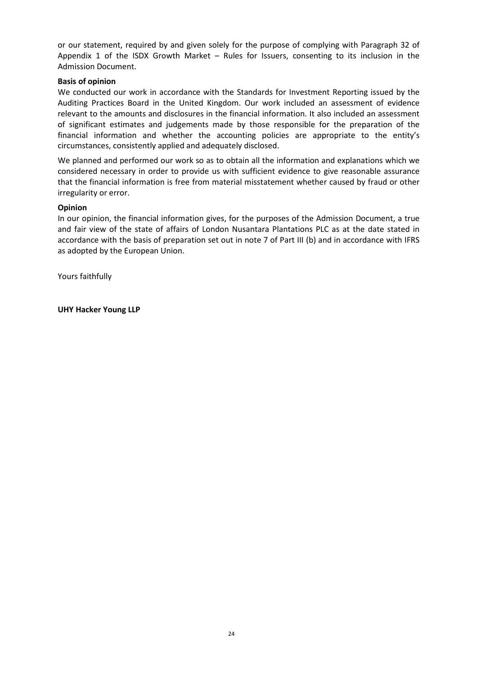or our statement, required by and given solely for the purpose of complying with Paragraph 32 of Appendix 1 of the ISDX Growth Market – Rules for Issuers, consenting to its inclusion in the Admission Document.

# Basis of opinion

We conducted our work in accordance with the Standards for Investment Reporting issued by the Auditing Practices Board in the United Kingdom. Our work included an assessment of evidence relevant to the amounts and disclosures in the financial information. It also included an assessment of significant estimates and judgements made by those responsible for the preparation of the financial information and whether the accounting policies are appropriate to the entity's circumstances, consistently applied and adequately disclosed.

We planned and performed our work so as to obtain all the information and explanations which we considered necessary in order to provide us with sufficient evidence to give reasonable assurance that the financial information is free from material misstatement whether caused by fraud or other irregularity or error.

# Opinion

In our opinion, the financial information gives, for the purposes of the Admission Document, a true and fair view of the state of affairs of London Nusantara Plantations PLC as at the date stated in accordance with the basis of preparation set out in note 7 of Part III (b) and in accordance with IFRS as adopted by the European Union.

Yours faithfully

UHY Hacker Young LLP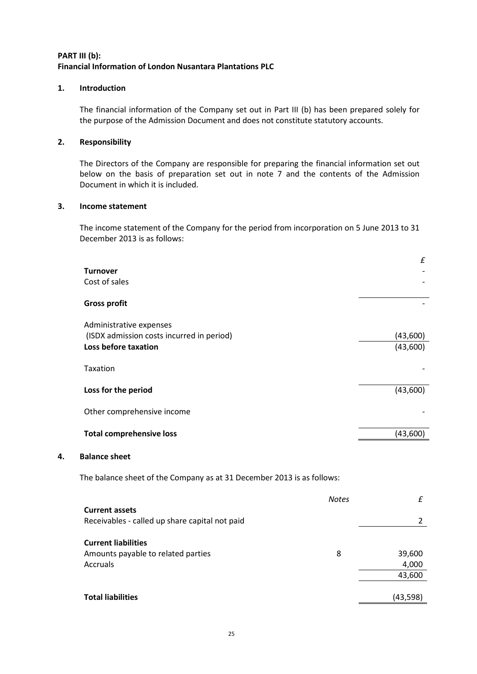# PART III (b): Financial Information of London Nusantara Plantations PLC

# 1. Introduction

The financial information of the Company set out in Part III (b) has been prepared solely for the purpose of the Admission Document and does not constitute statutory accounts.

# 2. Responsibility

The Directors of the Company are responsible for preparing the financial information set out below on the basis of preparation set out in note 7 and the contents of the Admission Document in which it is included.

# 3. Income statement

The income statement of the Company for the period from incorporation on 5 June 2013 to 31 December 2013 is as follows:

|    |                                                                        |              | £              |
|----|------------------------------------------------------------------------|--------------|----------------|
|    | <b>Turnover</b><br>Cost of sales                                       |              |                |
|    |                                                                        |              |                |
|    | <b>Gross profit</b>                                                    |              |                |
|    | Administrative expenses                                                |              |                |
|    | (ISDX admission costs incurred in period)                              |              | (43,600)       |
|    | Loss before taxation                                                   |              | (43,600)       |
|    | Taxation                                                               |              |                |
|    | Loss for the period                                                    |              | (43,600)       |
|    | Other comprehensive income                                             |              |                |
|    | <b>Total comprehensive loss</b>                                        |              | (43,600)       |
| 4. | <b>Balance sheet</b>                                                   |              |                |
|    | The balance sheet of the Company as at 31 December 2013 is as follows: |              |                |
|    |                                                                        | <b>Notes</b> | £              |
|    | <b>Current assets</b>                                                  |              |                |
|    | Receivables - called up share capital not paid                         |              | $\overline{2}$ |
|    | <b>Current liabilities</b>                                             |              |                |
|    | Amounts payable to related parties                                     | 8            | 39,600         |
|    | <b>Accruals</b>                                                        |              | 4,000          |
|    |                                                                        |              | 43,600         |
|    | <b>Total liabilities</b>                                               |              | (43, 598)      |
|    |                                                                        |              |                |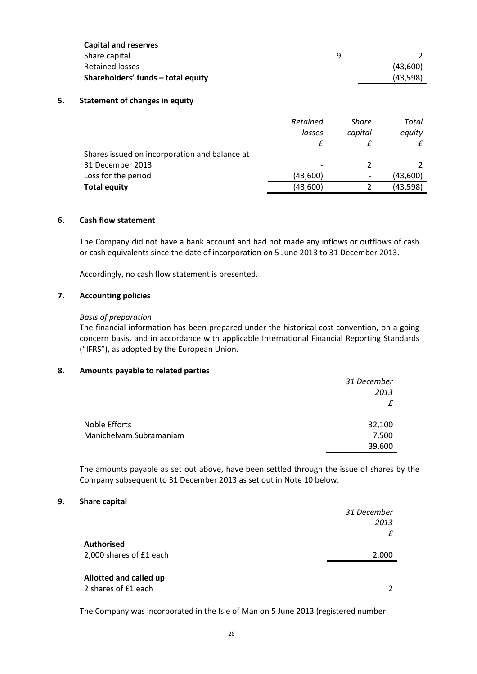| <b>Capital and reserves</b>        |   |          |
|------------------------------------|---|----------|
| Share capital                      | a |          |
| Retained losses                    |   | (43.600) |
| Shareholders' funds - total equity |   | (43.598) |

# 5. Statement of changes in equity

|                                               | Retained<br>losses | Share<br>capital             | Total<br>equity |
|-----------------------------------------------|--------------------|------------------------------|-----------------|
|                                               |                    |                              |                 |
| Shares issued on incorporation and balance at |                    |                              |                 |
| 31 December 2013                              |                    |                              |                 |
| Loss for the period                           | (43,600)           | $\qquad \qquad \blacksquare$ | (43,600)        |
| <b>Total equity</b>                           | (43,600)           |                              | (43,598)        |

### 6. Cash flow statement

The Company did not have a bank account and had not made any inflows or outflows of cash or cash equivalents since the date of incorporation on 5 June 2013 to 31 December 2013.

Accordingly, no cash flow statement is presented.

# 7. Accounting policies

### Basis of preparation

The financial information has been prepared under the historical cost convention, on a going concern basis, and in accordance with applicable International Financial Reporting Standards ("IFRS"), as adopted by the European Union.

### 8. Amounts payable to related parties

|                         | 31 December |
|-------------------------|-------------|
|                         | 2013        |
|                         |             |
| Noble Efforts           | 32,100      |
| Manichelvam Subramaniam | 7,500       |
|                         | 39,600      |

The amounts payable as set out above, have been settled through the issue of shares by the Company subsequent to 31 December 2013 as set out in Note 10 below.

### 9. Share capital

|                               | 31 December |
|-------------------------------|-------------|
|                               | 2013        |
|                               |             |
| <b>Authorised</b>             |             |
| 2,000 shares of £1 each       | 2,000       |
|                               |             |
| <b>Allotted and called up</b> |             |
| 2 shares of £1 each           |             |
|                               |             |

The Company was incorporated in the Isle of Man on 5 June 2013 (registered number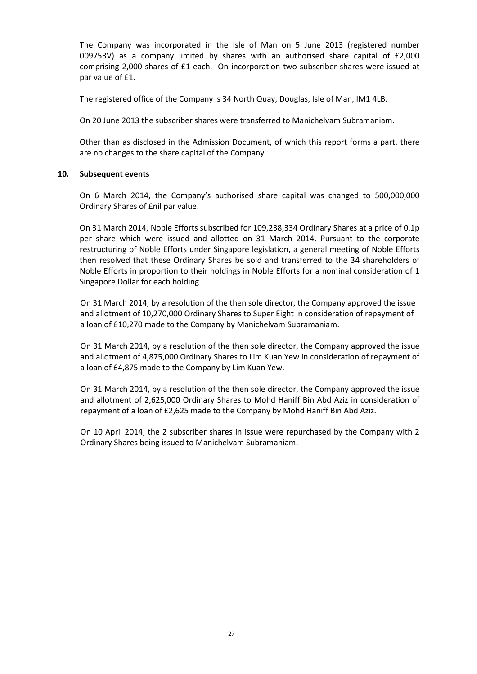The Company was incorporated in the Isle of Man on 5 June 2013 (registered number 009753V) as a company limited by shares with an authorised share capital of £2,000 comprising 2,000 shares of £1 each. On incorporation two subscriber shares were issued at par value of £1.

The registered office of the Company is 34 North Quay, Douglas, Isle of Man, IM1 4LB.

On 20 June 2013 the subscriber shares were transferred to Manichelvam Subramaniam.

Other than as disclosed in the Admission Document, of which this report forms a part, there are no changes to the share capital of the Company.

# 10. Subsequent events

On 6 March 2014, the Company's authorised share capital was changed to 500,000,000 Ordinary Shares of £nil par value.

On 31 March 2014, Noble Efforts subscribed for 109,238,334 Ordinary Shares at a price of 0.1p per share which were issued and allotted on 31 March 2014. Pursuant to the corporate restructuring of Noble Efforts under Singapore legislation, a general meeting of Noble Efforts then resolved that these Ordinary Shares be sold and transferred to the 34 shareholders of Noble Efforts in proportion to their holdings in Noble Efforts for a nominal consideration of 1 Singapore Dollar for each holding.

On 31 March 2014, by a resolution of the then sole director, the Company approved the issue and allotment of 10,270,000 Ordinary Shares to Super Eight in consideration of repayment of a loan of £10,270 made to the Company by Manichelvam Subramaniam.

On 31 March 2014, by a resolution of the then sole director, the Company approved the issue and allotment of 4,875,000 Ordinary Shares to Lim Kuan Yew in consideration of repayment of a loan of £4,875 made to the Company by Lim Kuan Yew.

On 31 March 2014, by a resolution of the then sole director, the Company approved the issue and allotment of 2,625,000 Ordinary Shares to Mohd Haniff Bin Abd Aziz in consideration of repayment of a loan of £2,625 made to the Company by Mohd Haniff Bin Abd Aziz.

On 10 April 2014, the 2 subscriber shares in issue were repurchased by the Company with 2 Ordinary Shares being issued to Manichelvam Subramaniam.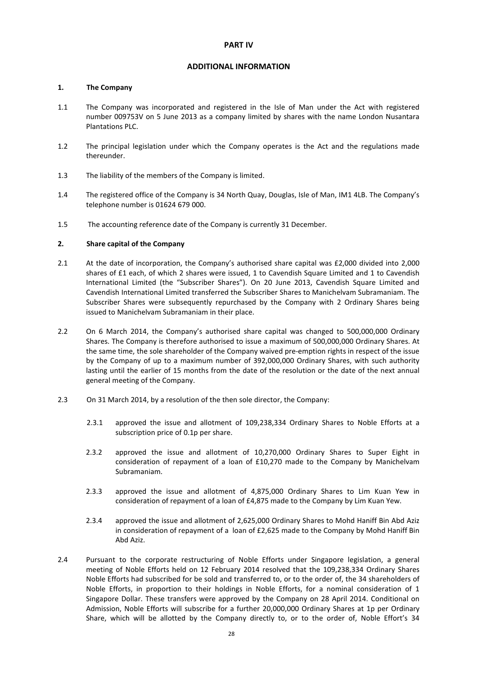### ADDITIONAL INFORMATION

### 1. The Company

- 1.1 The Company was incorporated and registered in the Isle of Man under the Act with registered number 009753V on 5 June 2013 as a company limited by shares with the name London Nusantara Plantations PLC.
- 1.2 The principal legislation under which the Company operates is the Act and the regulations made thereunder.
- 1.3 The liability of the members of the Company is limited.
- 1.4 The registered office of the Company is 34 North Quay, Douglas, Isle of Man, IM1 4LB. The Company's telephone number is 01624 679 000.
- 1.5 The accounting reference date of the Company is currently 31 December.

### 2. Share capital of the Company

- 2.1 At the date of incorporation, the Company's authorised share capital was £2,000 divided into 2,000 shares of £1 each, of which 2 shares were issued, 1 to Cavendish Square Limited and 1 to Cavendish International Limited (the "Subscriber Shares"). On 20 June 2013, Cavendish Square Limited and Cavendish International Limited transferred the Subscriber Shares to Manichelvam Subramaniam. The Subscriber Shares were subsequently repurchased by the Company with 2 Ordinary Shares being issued to Manichelvam Subramaniam in their place.
- 2.2 On 6 March 2014, the Company's authorised share capital was changed to 500,000,000 Ordinary Shares. The Company is therefore authorised to issue a maximum of 500,000,000 Ordinary Shares. At the same time, the sole shareholder of the Company waived pre-emption rights in respect of the issue by the Company of up to a maximum number of 392,000,000 Ordinary Shares, with such authority lasting until the earlier of 15 months from the date of the resolution or the date of the next annual general meeting of the Company.
- 2.3 On 31 March 2014, by a resolution of the then sole director, the Company:
	- 2.3.1 approved the issue and allotment of 109,238,334 Ordinary Shares to Noble Efforts at a subscription price of 0.1p per share.
	- 2.3.2 approved the issue and allotment of 10,270,000 Ordinary Shares to Super Eight in consideration of repayment of a loan of £10,270 made to the Company by Manichelvam Subramaniam.
	- 2.3.3 approved the issue and allotment of 4,875,000 Ordinary Shares to Lim Kuan Yew in consideration of repayment of a loan of £4,875 made to the Company by Lim Kuan Yew.
	- 2.3.4 approved the issue and allotment of 2,625,000 Ordinary Shares to Mohd Haniff Bin Abd Aziz in consideration of repayment of a loan of £2,625 made to the Company by Mohd Haniff Bin Abd Aziz.
- 2.4 Pursuant to the corporate restructuring of Noble Efforts under Singapore legislation, a general meeting of Noble Efforts held on 12 February 2014 resolved that the 109,238,334 Ordinary Shares Noble Efforts had subscribed for be sold and transferred to, or to the order of, the 34 shareholders of Noble Efforts, in proportion to their holdings in Noble Efforts, for a nominal consideration of 1 Singapore Dollar. These transfers were approved by the Company on 28 April 2014. Conditional on Admission, Noble Efforts will subscribe for a further 20,000,000 Ordinary Shares at 1p per Ordinary Share, which will be allotted by the Company directly to, or to the order of, Noble Effort's 34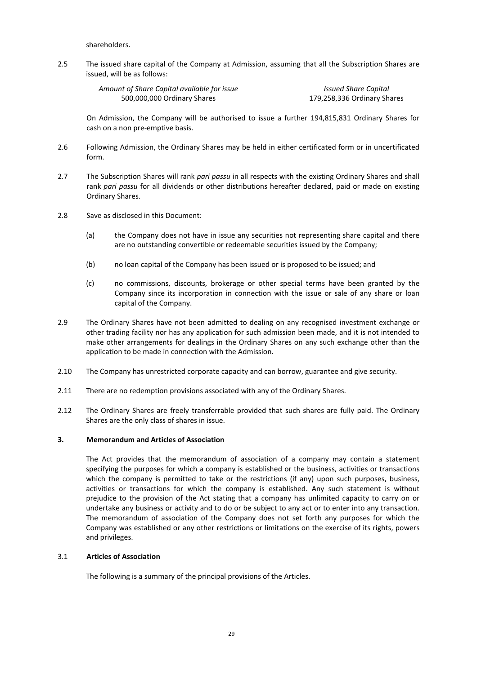shareholders.

2.5 The issued share capital of the Company at Admission, assuming that all the Subscription Shares are issued, will be as follows:

| Amount of Share Capital available for issue | <b>Issued Share Capital</b> |
|---------------------------------------------|-----------------------------|
| 500,000,000 Ordinary Shares                 | 179,258,336 Ordinary Shares |

On Admission, the Company will be authorised to issue a further 194,815,831 Ordinary Shares for cash on a non pre-emptive basis.

- 2.6 Following Admission, the Ordinary Shares may be held in either certificated form or in uncertificated form.
- 2.7 The Subscription Shares will rank pari passu in all respects with the existing Ordinary Shares and shall rank pari passu for all dividends or other distributions hereafter declared, paid or made on existing Ordinary Shares.
- 2.8 Save as disclosed in this Document:
	- (a) the Company does not have in issue any securities not representing share capital and there are no outstanding convertible or redeemable securities issued by the Company;
	- (b) no loan capital of the Company has been issued or is proposed to be issued; and
	- (c) no commissions, discounts, brokerage or other special terms have been granted by the Company since its incorporation in connection with the issue or sale of any share or loan capital of the Company.
- 2.9 The Ordinary Shares have not been admitted to dealing on any recognised investment exchange or other trading facility nor has any application for such admission been made, and it is not intended to make other arrangements for dealings in the Ordinary Shares on any such exchange other than the application to be made in connection with the Admission.
- 2.10 The Company has unrestricted corporate capacity and can borrow, guarantee and give security.
- 2.11 There are no redemption provisions associated with any of the Ordinary Shares.
- 2.12 The Ordinary Shares are freely transferrable provided that such shares are fully paid. The Ordinary Shares are the only class of shares in issue.

### 3. Memorandum and Articles of Association

The Act provides that the memorandum of association of a company may contain a statement specifying the purposes for which a company is established or the business, activities or transactions which the company is permitted to take or the restrictions (if any) upon such purposes, business, activities or transactions for which the company is established. Any such statement is without prejudice to the provision of the Act stating that a company has unlimited capacity to carry on or undertake any business or activity and to do or be subject to any act or to enter into any transaction. The memorandum of association of the Company does not set forth any purposes for which the Company was established or any other restrictions or limitations on the exercise of its rights, powers and privileges.

#### 3.1 Articles of Association

The following is a summary of the principal provisions of the Articles.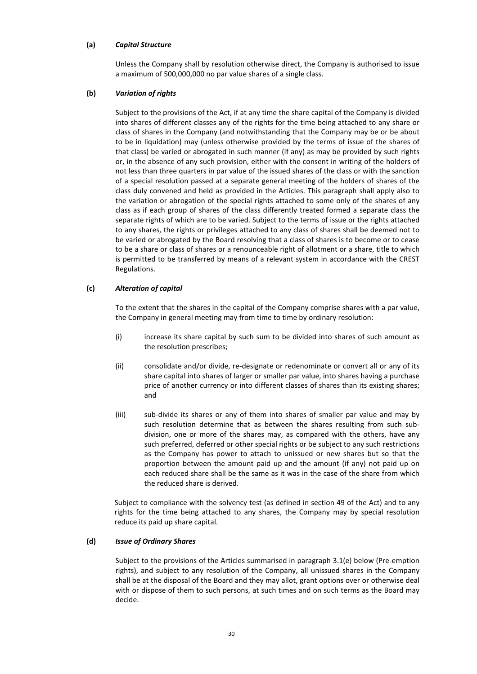### (a) Capital Structure

Unless the Company shall by resolution otherwise direct, the Company is authorised to issue a maximum of 500,000,000 no par value shares of a single class.

### (b) Variation of rights

Subject to the provisions of the Act, if at any time the share capital of the Company is divided into shares of different classes any of the rights for the time being attached to any share or class of shares in the Company (and notwithstanding that the Company may be or be about to be in liquidation) may (unless otherwise provided by the terms of issue of the shares of that class) be varied or abrogated in such manner (if any) as may be provided by such rights or, in the absence of any such provision, either with the consent in writing of the holders of not less than three quarters in par value of the issued shares of the class or with the sanction of a special resolution passed at a separate general meeting of the holders of shares of the class duly convened and held as provided in the Articles. This paragraph shall apply also to the variation or abrogation of the special rights attached to some only of the shares of any class as if each group of shares of the class differently treated formed a separate class the separate rights of which are to be varied. Subject to the terms of issue or the rights attached to any shares, the rights or privileges attached to any class of shares shall be deemed not to be varied or abrogated by the Board resolving that a class of shares is to become or to cease to be a share or class of shares or a renounceable right of allotment or a share, title to which is permitted to be transferred by means of a relevant system in accordance with the CREST Regulations.

### (c) Alteration of capital

To the extent that the shares in the capital of the Company comprise shares with a par value, the Company in general meeting may from time to time by ordinary resolution:

- (i) increase its share capital by such sum to be divided into shares of such amount as the resolution prescribes;
- (ii) consolidate and/or divide, re-designate or redenominate or convert all or any of its share capital into shares of larger or smaller par value, into shares having a purchase price of another currency or into different classes of shares than its existing shares; and
- (iii) sub-divide its shares or any of them into shares of smaller par value and may by such resolution determine that as between the shares resulting from such subdivision, one or more of the shares may, as compared with the others, have any such preferred, deferred or other special rights or be subject to any such restrictions as the Company has power to attach to unissued or new shares but so that the proportion between the amount paid up and the amount (if any) not paid up on each reduced share shall be the same as it was in the case of the share from which the reduced share is derived.

Subject to compliance with the solvency test (as defined in section 49 of the Act) and to any rights for the time being attached to any shares, the Company may by special resolution reduce its paid up share capital.

#### (d) Issue of Ordinary Shares

Subject to the provisions of the Articles summarised in paragraph 3.1(e) below (Pre-emption rights), and subject to any resolution of the Company, all unissued shares in the Company shall be at the disposal of the Board and they may allot, grant options over or otherwise deal with or dispose of them to such persons, at such times and on such terms as the Board may decide.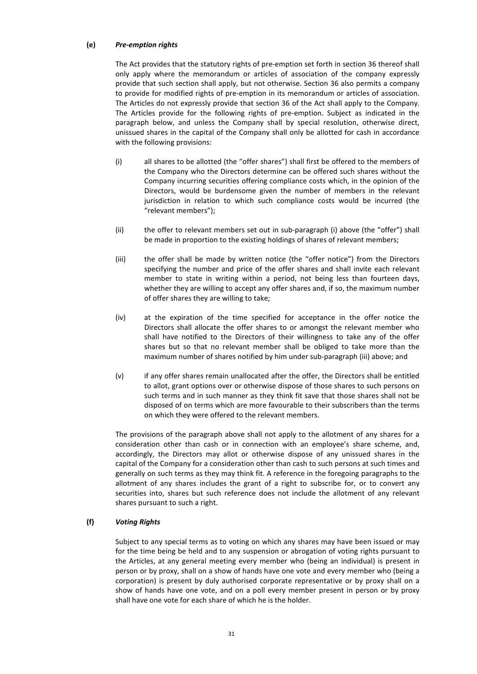### (e) Pre-emption rights

The Act provides that the statutory rights of pre-emption set forth in section 36 thereof shall only apply where the memorandum or articles of association of the company expressly provide that such section shall apply, but not otherwise. Section 36 also permits a company to provide for modified rights of pre-emption in its memorandum or articles of association. The Articles do not expressly provide that section 36 of the Act shall apply to the Company. The Articles provide for the following rights of pre-emption. Subject as indicated in the paragraph below, and unless the Company shall by special resolution, otherwise direct, unissued shares in the capital of the Company shall only be allotted for cash in accordance with the following provisions:

- (i) all shares to be allotted (the "offer shares") shall first be offered to the members of the Company who the Directors determine can be offered such shares without the Company incurring securities offering compliance costs which, in the opinion of the Directors, would be burdensome given the number of members in the relevant jurisdiction in relation to which such compliance costs would be incurred (the "relevant members");
- (ii) the offer to relevant members set out in sub-paragraph (i) above (the "offer") shall be made in proportion to the existing holdings of shares of relevant members;
- (iii) the offer shall be made by written notice (the "offer notice") from the Directors specifying the number and price of the offer shares and shall invite each relevant member to state in writing within a period, not being less than fourteen days, whether they are willing to accept any offer shares and, if so, the maximum number of offer shares they are willing to take;
- (iv) at the expiration of the time specified for acceptance in the offer notice the Directors shall allocate the offer shares to or amongst the relevant member who shall have notified to the Directors of their willingness to take any of the offer shares but so that no relevant member shall be obliged to take more than the maximum number of shares notified by him under sub-paragraph (iii) above; and
- (v) if any offer shares remain unallocated after the offer, the Directors shall be entitled to allot, grant options over or otherwise dispose of those shares to such persons on such terms and in such manner as they think fit save that those shares shall not be disposed of on terms which are more favourable to their subscribers than the terms on which they were offered to the relevant members.

The provisions of the paragraph above shall not apply to the allotment of any shares for a consideration other than cash or in connection with an employee's share scheme, and, accordingly, the Directors may allot or otherwise dispose of any unissued shares in the capital of the Company for a consideration other than cash to such persons at such times and generally on such terms as they may think fit. A reference in the foregoing paragraphs to the allotment of any shares includes the grant of a right to subscribe for, or to convert any securities into, shares but such reference does not include the allotment of any relevant shares pursuant to such a right.

### (f) Voting Rights

Subject to any special terms as to voting on which any shares may have been issued or may for the time being be held and to any suspension or abrogation of voting rights pursuant to the Articles, at any general meeting every member who (being an individual) is present in person or by proxy, shall on a show of hands have one vote and every member who (being a corporation) is present by duly authorised corporate representative or by proxy shall on a show of hands have one vote, and on a poll every member present in person or by proxy shall have one vote for each share of which he is the holder.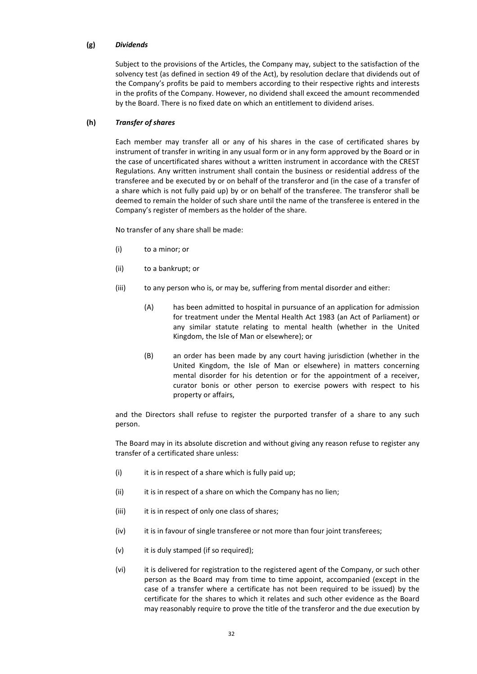### (g) Dividends

Subject to the provisions of the Articles, the Company may, subject to the satisfaction of the solvency test (as defined in section 49 of the Act), by resolution declare that dividends out of the Company's profits be paid to members according to their respective rights and interests in the profits of the Company. However, no dividend shall exceed the amount recommended by the Board. There is no fixed date on which an entitlement to dividend arises.

### (h) Transfer of shares

Each member may transfer all or any of his shares in the case of certificated shares by instrument of transfer in writing in any usual form or in any form approved by the Board or in the case of uncertificated shares without a written instrument in accordance with the CREST Regulations. Any written instrument shall contain the business or residential address of the transferee and be executed by or on behalf of the transferor and (in the case of a transfer of a share which is not fully paid up) by or on behalf of the transferee. The transferor shall be deemed to remain the holder of such share until the name of the transferee is entered in the Company's register of members as the holder of the share.

No transfer of any share shall be made:

- (i) to a minor; or
- (ii) to a bankrupt; or
- (iii) to any person who is, or may be, suffering from mental disorder and either:
	- (A) has been admitted to hospital in pursuance of an application for admission for treatment under the Mental Health Act 1983 (an Act of Parliament) or any similar statute relating to mental health (whether in the United Kingdom, the Isle of Man or elsewhere); or
	- (B) an order has been made by any court having jurisdiction (whether in the United Kingdom, the Isle of Man or elsewhere) in matters concerning mental disorder for his detention or for the appointment of a receiver, curator bonis or other person to exercise powers with respect to his property or affairs,

and the Directors shall refuse to register the purported transfer of a share to any such person.

The Board may in its absolute discretion and without giving any reason refuse to register any transfer of a certificated share unless:

- $(i)$  it is in respect of a share which is fully paid up;
- (ii) it is in respect of a share on which the Company has no lien;
- (iii) it is in respect of only one class of shares;
- (iv) it is in favour of single transferee or not more than four joint transferees;
- (v) it is duly stamped (if so required);
- (vi) it is delivered for registration to the registered agent of the Company, or such other person as the Board may from time to time appoint, accompanied (except in the case of a transfer where a certificate has not been required to be issued) by the certificate for the shares to which it relates and such other evidence as the Board may reasonably require to prove the title of the transferor and the due execution by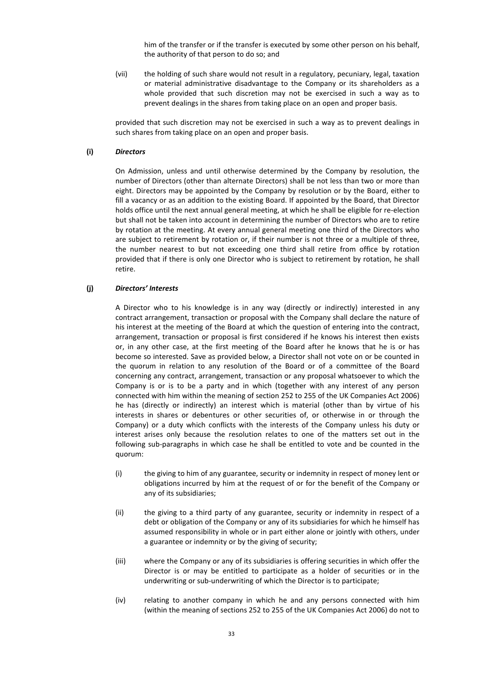him of the transfer or if the transfer is executed by some other person on his behalf, the authority of that person to do so; and

(vii) the holding of such share would not result in a regulatory, pecuniary, legal, taxation or material administrative disadvantage to the Company or its shareholders as a whole provided that such discretion may not be exercised in such a way as to prevent dealings in the shares from taking place on an open and proper basis.

provided that such discretion may not be exercised in such a way as to prevent dealings in such shares from taking place on an open and proper basis.

### (i) Directors

On Admission, unless and until otherwise determined by the Company by resolution, the number of Directors (other than alternate Directors) shall be not less than two or more than eight. Directors may be appointed by the Company by resolution or by the Board, either to fill a vacancy or as an addition to the existing Board. If appointed by the Board, that Director holds office until the next annual general meeting, at which he shall be eligible for re-election but shall not be taken into account in determining the number of Directors who are to retire by rotation at the meeting. At every annual general meeting one third of the Directors who are subject to retirement by rotation or, if their number is not three or a multiple of three, the number nearest to but not exceeding one third shall retire from office by rotation provided that if there is only one Director who is subject to retirement by rotation, he shall retire.

### (j) Directors' Interests

A Director who to his knowledge is in any way (directly or indirectly) interested in any contract arrangement, transaction or proposal with the Company shall declare the nature of his interest at the meeting of the Board at which the question of entering into the contract, arrangement, transaction or proposal is first considered if he knows his interest then exists or, in any other case, at the first meeting of the Board after he knows that he is or has become so interested. Save as provided below, a Director shall not vote on or be counted in the quorum in relation to any resolution of the Board or of a committee of the Board concerning any contract, arrangement, transaction or any proposal whatsoever to which the Company is or is to be a party and in which (together with any interest of any person connected with him within the meaning of section 252 to 255 of the UK Companies Act 2006) he has (directly or indirectly) an interest which is material (other than by virtue of his interests in shares or debentures or other securities of, or otherwise in or through the Company) or a duty which conflicts with the interests of the Company unless his duty or interest arises only because the resolution relates to one of the matters set out in the following sub-paragraphs in which case he shall be entitled to vote and be counted in the quorum:

- (i) the giving to him of any guarantee, security or indemnity in respect of money lent or obligations incurred by him at the request of or for the benefit of the Company or any of its subsidiaries;
- (ii) the giving to a third party of any guarantee, security or indemnity in respect of a debt or obligation of the Company or any of its subsidiaries for which he himself has assumed responsibility in whole or in part either alone or jointly with others, under a guarantee or indemnity or by the giving of security;
- (iii) where the Company or any of its subsidiaries is offering securities in which offer the Director is or may be entitled to participate as a holder of securities or in the underwriting or sub-underwriting of which the Director is to participate;
- (iv) relating to another company in which he and any persons connected with him (within the meaning of sections 252 to 255 of the UK Companies Act 2006) do not to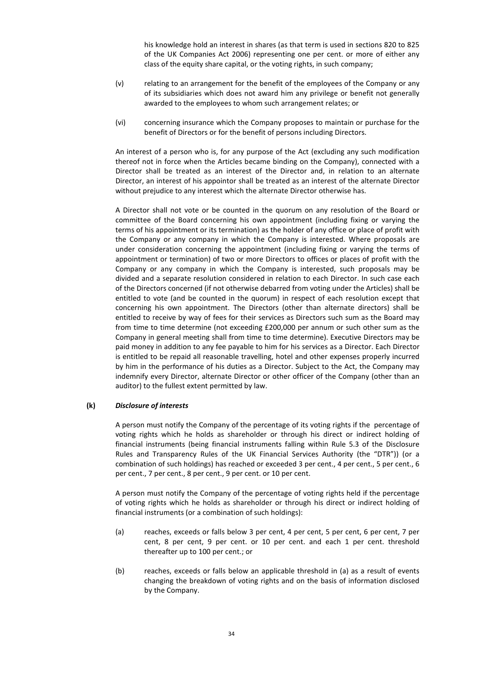his knowledge hold an interest in shares (as that term is used in sections 820 to 825 of the UK Companies Act 2006) representing one per cent. or more of either any class of the equity share capital, or the voting rights, in such company;

- (v) relating to an arrangement for the benefit of the employees of the Company or any of its subsidiaries which does not award him any privilege or benefit not generally awarded to the employees to whom such arrangement relates; or
- (vi) concerning insurance which the Company proposes to maintain or purchase for the benefit of Directors or for the benefit of persons including Directors.

An interest of a person who is, for any purpose of the Act (excluding any such modification thereof not in force when the Articles became binding on the Company), connected with a Director shall be treated as an interest of the Director and, in relation to an alternate Director, an interest of his appointor shall be treated as an interest of the alternate Director without prejudice to any interest which the alternate Director otherwise has.

A Director shall not vote or be counted in the quorum on any resolution of the Board or committee of the Board concerning his own appointment (including fixing or varying the terms of his appointment or its termination) as the holder of any office or place of profit with the Company or any company in which the Company is interested. Where proposals are under consideration concerning the appointment (including fixing or varying the terms of appointment or termination) of two or more Directors to offices or places of profit with the Company or any company in which the Company is interested, such proposals may be divided and a separate resolution considered in relation to each Director. In such case each of the Directors concerned (if not otherwise debarred from voting under the Articles) shall be entitled to vote (and be counted in the quorum) in respect of each resolution except that concerning his own appointment. The Directors (other than alternate directors) shall be entitled to receive by way of fees for their services as Directors such sum as the Board may from time to time determine (not exceeding £200,000 per annum or such other sum as the Company in general meeting shall from time to time determine). Executive Directors may be paid money in addition to any fee payable to him for his services as a Director. Each Director is entitled to be repaid all reasonable travelling, hotel and other expenses properly incurred by him in the performance of his duties as a Director. Subject to the Act, the Company may indemnify every Director, alternate Director or other officer of the Company (other than an auditor) to the fullest extent permitted by law.

### (k) Disclosure of interests

A person must notify the Company of the percentage of its voting rights if the percentage of voting rights which he holds as shareholder or through his direct or indirect holding of financial instruments (being financial instruments falling within Rule 5.3 of the Disclosure Rules and Transparency Rules of the UK Financial Services Authority (the "DTR")) (or a combination of such holdings) has reached or exceeded 3 per cent., 4 per cent., 5 per cent., 6 per cent., 7 per cent., 8 per cent., 9 per cent. or 10 per cent.

A person must notify the Company of the percentage of voting rights held if the percentage of voting rights which he holds as shareholder or through his direct or indirect holding of financial instruments (or a combination of such holdings):

- (a) reaches, exceeds or falls below 3 per cent, 4 per cent, 5 per cent, 6 per cent, 7 per cent, 8 per cent, 9 per cent. or 10 per cent. and each 1 per cent. threshold thereafter up to 100 per cent.; or
- (b) reaches, exceeds or falls below an applicable threshold in (a) as a result of events changing the breakdown of voting rights and on the basis of information disclosed by the Company.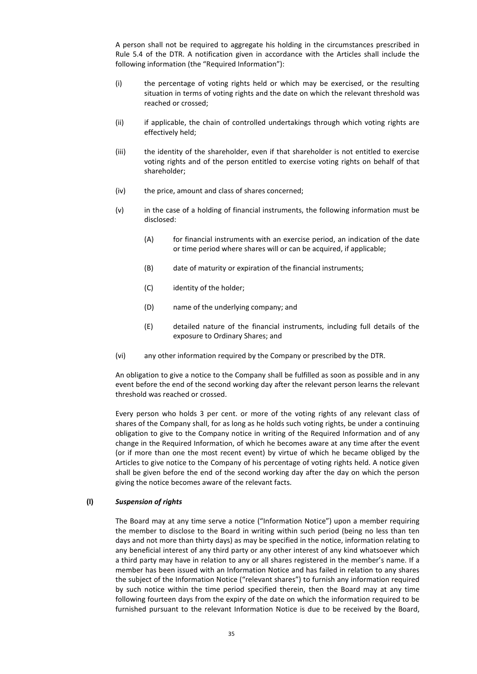A person shall not be required to aggregate his holding in the circumstances prescribed in Rule 5.4 of the DTR. A notification given in accordance with the Articles shall include the following information (the "Required Information"):

- (i) the percentage of voting rights held or which may be exercised, or the resulting situation in terms of voting rights and the date on which the relevant threshold was reached or crossed;
- (ii) if applicable, the chain of controlled undertakings through which voting rights are effectively held;
- (iii) the identity of the shareholder, even if that shareholder is not entitled to exercise voting rights and of the person entitled to exercise voting rights on behalf of that shareholder;
- (iv) the price, amount and class of shares concerned;
- (v) in the case of a holding of financial instruments, the following information must be disclosed:
	- (A) for financial instruments with an exercise period, an indication of the date or time period where shares will or can be acquired, if applicable;
	- (B) date of maturity or expiration of the financial instruments;
	- (C) identity of the holder;
	- (D) name of the underlying company; and
	- (E) detailed nature of the financial instruments, including full details of the exposure to Ordinary Shares; and
- (vi) any other information required by the Company or prescribed by the DTR.

An obligation to give a notice to the Company shall be fulfilled as soon as possible and in any event before the end of the second working day after the relevant person learns the relevant threshold was reached or crossed.

Every person who holds 3 per cent. or more of the voting rights of any relevant class of shares of the Company shall, for as long as he holds such voting rights, be under a continuing obligation to give to the Company notice in writing of the Required Information and of any change in the Required Information, of which he becomes aware at any time after the event (or if more than one the most recent event) by virtue of which he became obliged by the Articles to give notice to the Company of his percentage of voting rights held. A notice given shall be given before the end of the second working day after the day on which the person giving the notice becomes aware of the relevant facts.

### (l) Suspension of rights

The Board may at any time serve a notice ("Information Notice") upon a member requiring the member to disclose to the Board in writing within such period (being no less than ten days and not more than thirty days) as may be specified in the notice, information relating to any beneficial interest of any third party or any other interest of any kind whatsoever which a third party may have in relation to any or all shares registered in the member's name. If a member has been issued with an Information Notice and has failed in relation to any shares the subject of the Information Notice ("relevant shares") to furnish any information required by such notice within the time period specified therein, then the Board may at any time following fourteen days from the expiry of the date on which the information required to be furnished pursuant to the relevant Information Notice is due to be received by the Board,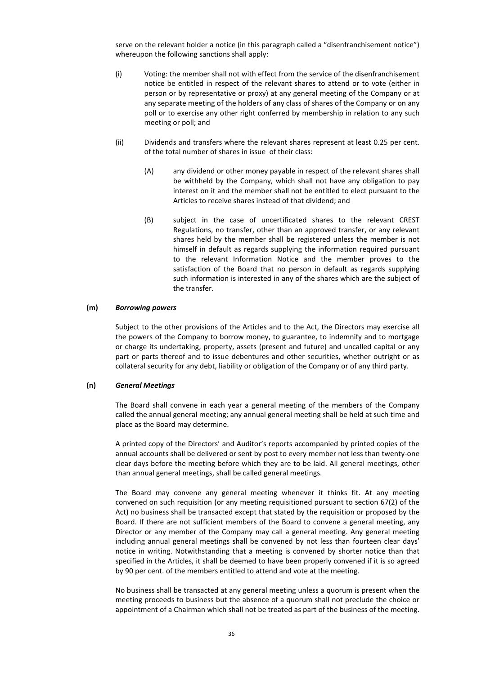serve on the relevant holder a notice (in this paragraph called a "disenfranchisement notice") whereupon the following sanctions shall apply:

- (i) Voting: the member shall not with effect from the service of the disenfranchisement notice be entitled in respect of the relevant shares to attend or to vote (either in person or by representative or proxy) at any general meeting of the Company or at any separate meeting of the holders of any class of shares of the Company or on any poll or to exercise any other right conferred by membership in relation to any such meeting or poll; and
- (ii) Dividends and transfers where the relevant shares represent at least 0.25 per cent. of the total number of shares in issue of their class:
	- (A) any dividend or other money payable in respect of the relevant shares shall be withheld by the Company, which shall not have any obligation to pay interest on it and the member shall not be entitled to elect pursuant to the Articles to receive shares instead of that dividend; and
	- (B) subject in the case of uncertificated shares to the relevant CREST Regulations, no transfer, other than an approved transfer, or any relevant shares held by the member shall be registered unless the member is not himself in default as regards supplying the information required pursuant to the relevant Information Notice and the member proves to the satisfaction of the Board that no person in default as regards supplying such information is interested in any of the shares which are the subject of the transfer.

#### (m) Borrowing powers

Subject to the other provisions of the Articles and to the Act, the Directors may exercise all the powers of the Company to borrow money, to guarantee, to indemnify and to mortgage or charge its undertaking, property, assets (present and future) and uncalled capital or any part or parts thereof and to issue debentures and other securities, whether outright or as collateral security for any debt, liability or obligation of the Company or of any third party.

#### (n) General Meetings

The Board shall convene in each year a general meeting of the members of the Company called the annual general meeting; any annual general meeting shall be held at such time and place as the Board may determine.

A printed copy of the Directors' and Auditor's reports accompanied by printed copies of the annual accounts shall be delivered or sent by post to every member not less than twenty-one clear days before the meeting before which they are to be laid. All general meetings, other than annual general meetings, shall be called general meetings.

The Board may convene any general meeting whenever it thinks fit. At any meeting convened on such requisition (or any meeting requisitioned pursuant to section 67(2) of the Act) no business shall be transacted except that stated by the requisition or proposed by the Board. If there are not sufficient members of the Board to convene a general meeting, any Director or any member of the Company may call a general meeting. Any general meeting including annual general meetings shall be convened by not less than fourteen clear days' notice in writing. Notwithstanding that a meeting is convened by shorter notice than that specified in the Articles, it shall be deemed to have been properly convened if it is so agreed by 90 per cent. of the members entitled to attend and vote at the meeting.

No business shall be transacted at any general meeting unless a quorum is present when the meeting proceeds to business but the absence of a quorum shall not preclude the choice or appointment of a Chairman which shall not be treated as part of the business of the meeting.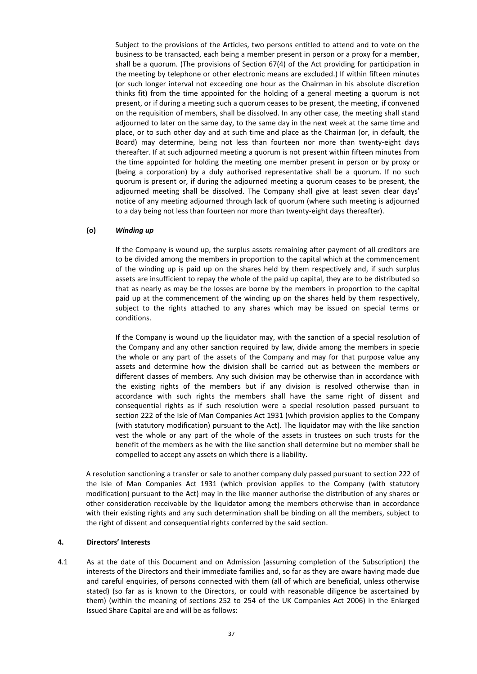Subject to the provisions of the Articles, two persons entitled to attend and to vote on the business to be transacted, each being a member present in person or a proxy for a member, shall be a quorum. (The provisions of Section 67(4) of the Act providing for participation in the meeting by telephone or other electronic means are excluded.) If within fifteen minutes (or such longer interval not exceeding one hour as the Chairman in his absolute discretion thinks fit) from the time appointed for the holding of a general meeting a quorum is not present, or if during a meeting such a quorum ceases to be present, the meeting, if convened on the requisition of members, shall be dissolved. In any other case, the meeting shall stand adjourned to later on the same day, to the same day in the next week at the same time and place, or to such other day and at such time and place as the Chairman (or, in default, the Board) may determine, being not less than fourteen nor more than twenty-eight days thereafter. If at such adjourned meeting a quorum is not present within fifteen minutes from the time appointed for holding the meeting one member present in person or by proxy or (being a corporation) by a duly authorised representative shall be a quorum. If no such quorum is present or, if during the adjourned meeting a quorum ceases to be present, the adjourned meeting shall be dissolved. The Company shall give at least seven clear days' notice of any meeting adjourned through lack of quorum (where such meeting is adjourned to a day being not less than fourteen nor more than twenty-eight days thereafter).

### (o) Winding up

If the Company is wound up, the surplus assets remaining after payment of all creditors are to be divided among the members in proportion to the capital which at the commencement of the winding up is paid up on the shares held by them respectively and, if such surplus assets are insufficient to repay the whole of the paid up capital, they are to be distributed so that as nearly as may be the losses are borne by the members in proportion to the capital paid up at the commencement of the winding up on the shares held by them respectively, subject to the rights attached to any shares which may be issued on special terms or conditions.

If the Company is wound up the liquidator may, with the sanction of a special resolution of the Company and any other sanction required by law, divide among the members in specie the whole or any part of the assets of the Company and may for that purpose value any assets and determine how the division shall be carried out as between the members or different classes of members. Any such division may be otherwise than in accordance with the existing rights of the members but if any division is resolved otherwise than in accordance with such rights the members shall have the same right of dissent and consequential rights as if such resolution were a special resolution passed pursuant to section 222 of the Isle of Man Companies Act 1931 (which provision applies to the Company (with statutory modification) pursuant to the Act). The liquidator may with the like sanction vest the whole or any part of the whole of the assets in trustees on such trusts for the benefit of the members as he with the like sanction shall determine but no member shall be compelled to accept any assets on which there is a liability.

A resolution sanctioning a transfer or sale to another company duly passed pursuant to section 222 of the Isle of Man Companies Act 1931 (which provision applies to the Company (with statutory modification) pursuant to the Act) may in the like manner authorise the distribution of any shares or other consideration receivable by the liquidator among the members otherwise than in accordance with their existing rights and any such determination shall be binding on all the members, subject to the right of dissent and consequential rights conferred by the said section.

### 4. Directors' Interests

4.1 As at the date of this Document and on Admission (assuming completion of the Subscription) the interests of the Directors and their immediate families and, so far as they are aware having made due and careful enquiries, of persons connected with them (all of which are beneficial, unless otherwise stated) (so far as is known to the Directors, or could with reasonable diligence be ascertained by them) (within the meaning of sections 252 to 254 of the UK Companies Act 2006) in the Enlarged Issued Share Capital are and will be as follows: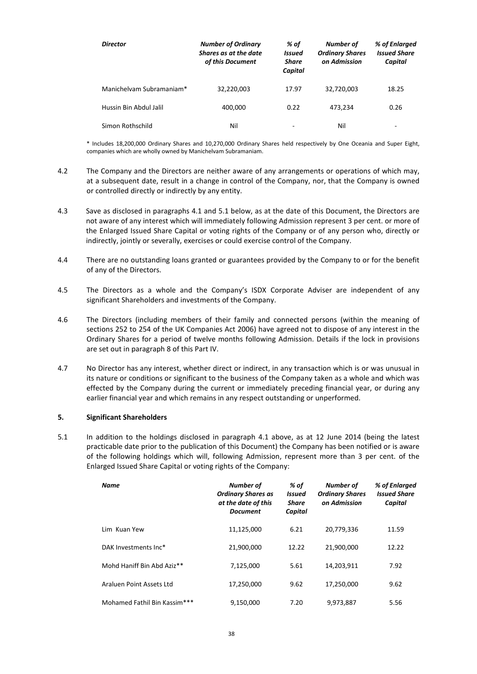| <b>Director</b>          | <b>Number of Ordinary</b><br>Shares as at the date<br>of this Document | % of<br><b>Issued</b><br><b>Share</b><br>Capital | Number of<br><b>Ordinary Shares</b><br>on Admission | % of Enlarged<br><b>Issued Share</b><br>Capital |
|--------------------------|------------------------------------------------------------------------|--------------------------------------------------|-----------------------------------------------------|-------------------------------------------------|
| Manichelvam Subramaniam* | 32,220,003                                                             | 17.97                                            | 32,720,003                                          | 18.25                                           |
| Hussin Bin Abdul Jalil   | 400,000                                                                | 0.22                                             | 473.234                                             | 0.26                                            |
| Simon Rothschild         | Nil                                                                    |                                                  | Nil                                                 | -                                               |

\* Includes 18,200,000 Ordinary Shares and 10,270,000 Ordinary Shares held respectively by One Oceania and Super Eight, companies which are wholly owned by Manichelvam Subramaniam.

- 4.2 The Company and the Directors are neither aware of any arrangements or operations of which may, at a subsequent date, result in a change in control of the Company, nor, that the Company is owned or controlled directly or indirectly by any entity.
- 4.3 Save as disclosed in paragraphs 4.1 and 5.1 below, as at the date of this Document, the Directors are not aware of any interest which will immediately following Admission represent 3 per cent. or more of the Enlarged Issued Share Capital or voting rights of the Company or of any person who, directly or indirectly, jointly or severally, exercises or could exercise control of the Company.
- 4.4 There are no outstanding loans granted or guarantees provided by the Company to or for the benefit of any of the Directors.
- 4.5 The Directors as a whole and the Company's ISDX Corporate Adviser are independent of any significant Shareholders and investments of the Company.
- 4.6 The Directors (including members of their family and connected persons (within the meaning of sections 252 to 254 of the UK Companies Act 2006) have agreed not to dispose of any interest in the Ordinary Shares for a period of twelve months following Admission. Details if the lock in provisions are set out in paragraph 8 of this Part IV.
- 4.7 No Director has any interest, whether direct or indirect, in any transaction which is or was unusual in its nature or conditions or significant to the business of the Company taken as a whole and which was effected by the Company during the current or immediately preceding financial year, or during any earlier financial year and which remains in any respect outstanding or unperformed.

### 5. Significant Shareholders

5.1 In addition to the holdings disclosed in paragraph 4.1 above, as at 12 June 2014 (being the latest practicable date prior to the publication of this Document) the Company has been notified or is aware of the following holdings which will, following Admission, represent more than 3 per cent. of the Enlarged Issued Share Capital or voting rights of the Company:

| Name                         | <b>Number of</b><br><b>Ordinary Shares as</b><br>at the date of this<br><b>Document</b> | % of<br><b>Issued</b><br>Share<br>Capital | Number of<br><b>Ordinary Shares</b><br>on Admission | % of Enlarged<br><b>Issued Share</b><br>Capital |
|------------------------------|-----------------------------------------------------------------------------------------|-------------------------------------------|-----------------------------------------------------|-------------------------------------------------|
| <b>Lim Kuan Yew</b>          | 11,125,000                                                                              | 6.21                                      | 20,779,336                                          | 11.59                                           |
| DAK Investments Inc*         | 21,900,000                                                                              | 12.22                                     | 21,900,000                                          | 12.22                                           |
| Mohd Haniff Bin Abd Aziz**   | 7,125,000                                                                               | 5.61                                      | 14,203,911                                          | 7.92                                            |
| Araluen Point Assets Ltd     | 17,250,000                                                                              | 9.62                                      | 17,250,000                                          | 9.62                                            |
| Mohamed Fathil Bin Kassim*** | 9,150,000                                                                               | 7.20                                      | 9,973,887                                           | 5.56                                            |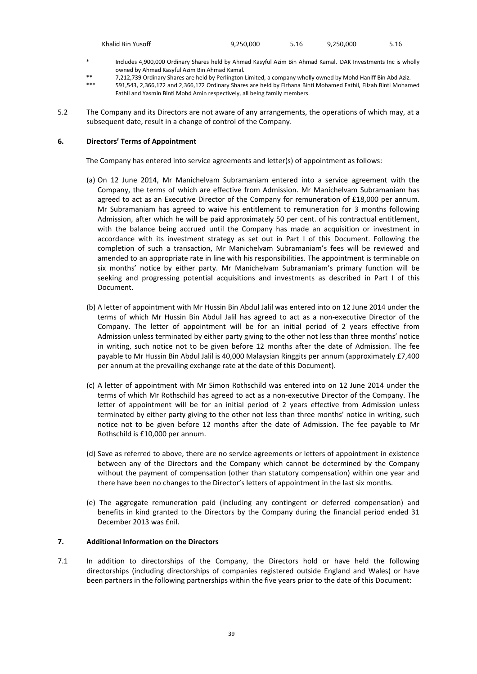| Khalid Bin Yusoff | 9,250,000 | 5.16 | 9,250,000 | 5.16 |
|-------------------|-----------|------|-----------|------|
|-------------------|-----------|------|-----------|------|

- \* Includes 4,900,000 Ordinary Shares held by Ahmad Kasyful Azim Bin Ahmad Kamal. DAK Investments Inc is wholly owned by Ahmad Kasyful Azim Bin Ahmad Kamal.
- \*\* 7,212,739 Ordinary Shares are held by Perlington Limited, a company wholly owned by Mohd Haniff Bin Abd Aziz.
- \*\*\* 591,543, 2,366,172 and 2,366,172 Ordinary Shares are held by Firhana Binti Mohamed Fathil, Filzah Binti Mohamed Fathil and Yasmin Binti Mohd Amin respectively, all being family members.
- 5.2 The Company and its Directors are not aware of any arrangements, the operations of which may, at a subsequent date, result in a change of control of the Company.

### 6. Directors' Terms of Appointment

The Company has entered into service agreements and letter(s) of appointment as follows:

- (a) On 12 June 2014, Mr Manichelvam Subramaniam entered into a service agreement with the Company, the terms of which are effective from Admission. Mr Manichelvam Subramaniam has agreed to act as an Executive Director of the Company for remuneration of £18,000 per annum. Mr Subramaniam has agreed to waive his entitlement to remuneration for 3 months following Admission, after which he will be paid approximately 50 per cent. of his contractual entitlement, with the balance being accrued until the Company has made an acquisition or investment in accordance with its investment strategy as set out in Part I of this Document. Following the completion of such a transaction, Mr Manichelvam Subramaniam's fees will be reviewed and amended to an appropriate rate in line with his responsibilities. The appointment is terminable on six months' notice by either party. Mr Manichelvam Subramaniam's primary function will be seeking and progressing potential acquisitions and investments as described in Part I of this Document.
- (b) A letter of appointment with Mr Hussin Bin Abdul Jalil was entered into on 12 June 2014 under the terms of which Mr Hussin Bin Abdul Jalil has agreed to act as a non-executive Director of the Company. The letter of appointment will be for an initial period of 2 years effective from Admission unless terminated by either party giving to the other not less than three months' notice in writing, such notice not to be given before 12 months after the date of Admission. The fee payable to Mr Hussin Bin Abdul Jalil is 40,000 Malaysian Ringgits per annum (approximately £7,400 per annum at the prevailing exchange rate at the date of this Document).
- (c) A letter of appointment with Mr Simon Rothschild was entered into on 12 June 2014 under the terms of which Mr Rothschild has agreed to act as a non-executive Director of the Company. The letter of appointment will be for an initial period of 2 years effective from Admission unless terminated by either party giving to the other not less than three months' notice in writing, such notice not to be given before 12 months after the date of Admission. The fee payable to Mr Rothschild is £10,000 per annum.
- (d) Save as referred to above, there are no service agreements or letters of appointment in existence between any of the Directors and the Company which cannot be determined by the Company without the payment of compensation (other than statutory compensation) within one year and there have been no changes to the Director's letters of appointment in the last six months.
- (e) The aggregate remuneration paid (including any contingent or deferred compensation) and benefits in kind granted to the Directors by the Company during the financial period ended 31 December 2013 was £nil.

### 7. Additional Information on the Directors

7.1 In addition to directorships of the Company, the Directors hold or have held the following directorships (including directorships of companies registered outside England and Wales) or have been partners in the following partnerships within the five years prior to the date of this Document: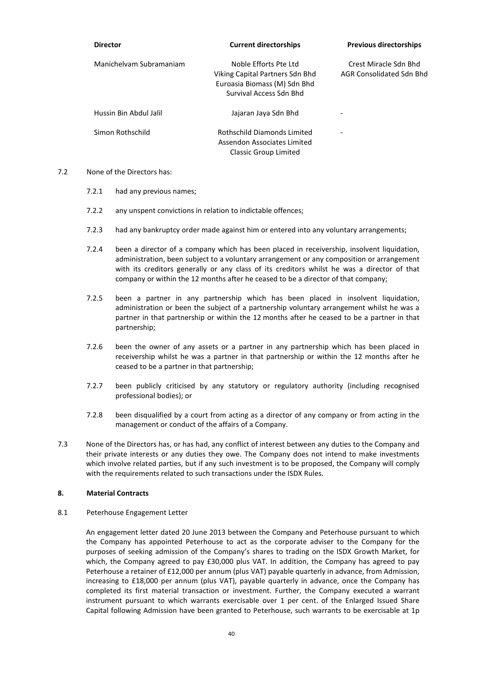| <b>Director</b>         | <b>Current directorships</b>                                                                                        | <b>Previous directorships</b>                     |
|-------------------------|---------------------------------------------------------------------------------------------------------------------|---------------------------------------------------|
| Manichelvam Subramaniam | Noble Efforts Pte Ltd<br>Viking Capital Partners Sdn Bhd<br>Euroasia Biomass (M) Sdn Bhd<br>Survival Access Sdn Bhd | Crest Miracle Sdn Bhd<br>AGR Consolidated Sdn Bhd |
| Hussin Bin Abdul Jalil  | Jajaran Jaya Sdn Bhd                                                                                                | $\overline{\phantom{0}}$                          |
| Simon Rothschild        | Rothschild Diamonds Limited<br>Assendon Associates Limited<br>Classic Group Limited                                 | -                                                 |

- 7.2 None of the Directors has:
	- 7.2.1 had any previous names;
	- 7.2.2 any unspent convictions in relation to indictable offences;
	- 7.2.3 had any bankruptcy order made against him or entered into any voluntary arrangements;
	- 7.2.4 been a director of a company which has been placed in receivership, insolvent liquidation, administration, been subject to a voluntary arrangement or any composition or arrangement with its creditors generally or any class of its creditors whilst he was a director of that company or within the 12 months after he ceased to be a director of that company;
	- 7.2.5 been a partner in any partnership which has been placed in insolvent liquidation, administration or been the subject of a partnership voluntary arrangement whilst he was a partner in that partnership or within the 12 months after he ceased to be a partner in that partnership;
	- 7.2.6 been the owner of any assets or a partner in any partnership which has been placed in receivership whilst he was a partner in that partnership or within the 12 months after he ceased to be a partner in that partnership;
	- 7.2.7 been publicly criticised by any statutory or regulatory authority (including recognised professional bodies); or
	- 7.2.8 been disqualified by a court from acting as a director of any company or from acting in the management or conduct of the affairs of a Company.
- 7.3 None of the Directors has, or has had, any conflict of interest between any duties to the Company and their private interests or any duties they owe. The Company does not intend to make investments which involve related parties, but if any such investment is to be proposed, the Company will comply with the requirements related to such transactions under the ISDX Rules.

#### 8. Material Contracts

8.1 Peterhouse Engagement Letter

 An engagement letter dated 20 June 2013 between the Company and Peterhouse pursuant to which the Company has appointed Peterhouse to act as the corporate adviser to the Company for the purposes of seeking admission of the Company's shares to trading on the ISDX Growth Market, for which, the Company agreed to pay £30,000 plus VAT. In addition, the Company has agreed to pay Peterhouse a retainer of £12,000 per annum (plus VAT) payable quarterly in advance, from Admission, increasing to £18,000 per annum (plus VAT), payable quarterly in advance, once the Company has completed its first material transaction or investment. Further, the Company executed a warrant instrument pursuant to which warrants exercisable over 1 per cent. of the Enlarged Issued Share Capital following Admission have been granted to Peterhouse, such warrants to be exercisable at 1p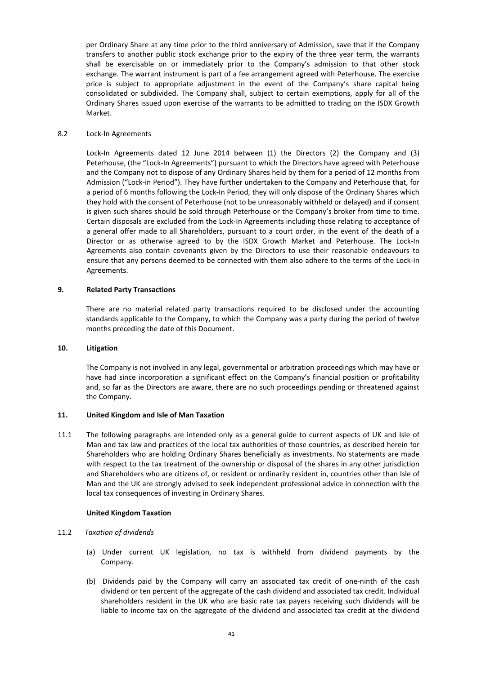per Ordinary Share at any time prior to the third anniversary of Admission, save that if the Company transfers to another public stock exchange prior to the expiry of the three year term, the warrants shall be exercisable on or immediately prior to the Company's admission to that other stock exchange. The warrant instrument is part of a fee arrangement agreed with Peterhouse. The exercise price is subject to appropriate adjustment in the event of the Company's share capital being consolidated or subdivided. The Company shall, subject to certain exemptions, apply for all of the Ordinary Shares issued upon exercise of the warrants to be admitted to trading on the ISDX Growth Market.

### 8.2 Lock-In Agreements

Lock-In Agreements dated 12 June 2014 between (1) the Directors (2) the Company and (3) Peterhouse, (the "Lock-In Agreements") pursuant to which the Directors have agreed with Peterhouse and the Company not to dispose of any Ordinary Shares held by them for a period of 12 months from Admission ("Lock-in Period"). They have further undertaken to the Company and Peterhouse that, for a period of 6 months following the Lock-In Period, they will only dispose of the Ordinary Shares which they hold with the consent of Peterhouse (not to be unreasonably withheld or delayed) and if consent is given such shares should be sold through Peterhouse or the Company's broker from time to time. Certain disposals are excluded from the Lock-In Agreements including those relating to acceptance of a general offer made to all Shareholders, pursuant to a court order, in the event of the death of a Director or as otherwise agreed to by the ISDX Growth Market and Peterhouse. The Lock-In Agreements also contain covenants given by the Directors to use their reasonable endeavours to ensure that any persons deemed to be connected with them also adhere to the terms of the Lock-In Agreements.

### 9. Related Party Transactions

There are no material related party transactions required to be disclosed under the accounting standards applicable to the Company, to which the Company was a party during the period of twelve months preceding the date of this Document.

#### 10. Litigation

The Company is not involved in any legal, governmental or arbitration proceedings which may have or have had since incorporation a significant effect on the Company's financial position or profitability and, so far as the Directors are aware, there are no such proceedings pending or threatened against the Company.

### 11. United Kingdom and Isle of Man Taxation

11.1 The following paragraphs are intended only as a general guide to current aspects of UK and Isle of Man and tax law and practices of the local tax authorities of those countries, as described herein for Shareholders who are holding Ordinary Shares beneficially as investments. No statements are made with respect to the tax treatment of the ownership or disposal of the shares in any other jurisdiction and Shareholders who are citizens of, or resident or ordinarily resident in, countries other than Isle of Man and the UK are strongly advised to seek independent professional advice in connection with the local tax consequences of investing in Ordinary Shares.

#### United Kingdom Taxation

### 11.2 Taxation of dividends

- (a) Under current UK legislation, no tax is withheld from dividend payments by the Company.
- (b) Dividends paid by the Company will carry an associated tax credit of one-ninth of the cash dividend or ten percent of the aggregate of the cash dividend and associated tax credit. Individual shareholders resident in the UK who are basic rate tax payers receiving such dividends will be liable to income tax on the aggregate of the dividend and associated tax credit at the dividend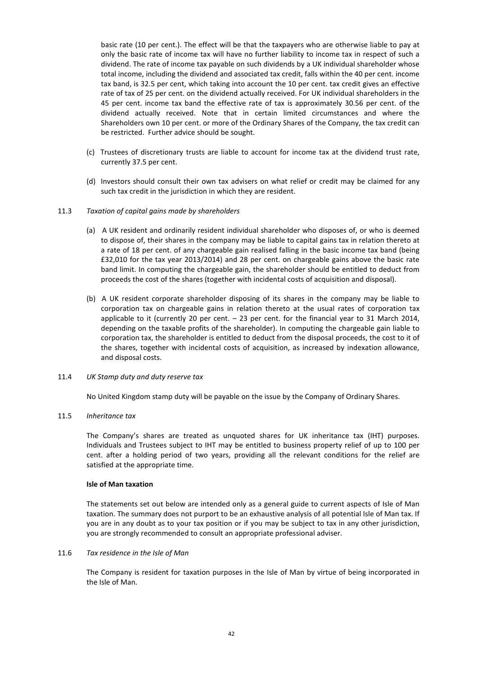basic rate (10 per cent.). The effect will be that the taxpayers who are otherwise liable to pay at only the basic rate of income tax will have no further liability to income tax in respect of such a dividend. The rate of income tax payable on such dividends by a UK individual shareholder whose total income, including the dividend and associated tax credit, falls within the 40 per cent. income tax band, is 32.5 per cent, which taking into account the 10 per cent. tax credit gives an effective rate of tax of 25 per cent. on the dividend actually received. For UK individual shareholders in the 45 per cent. income tax band the effective rate of tax is approximately 30.56 per cent. of the dividend actually received. Note that in certain limited circumstances and where the Shareholders own 10 per cent. or more of the Ordinary Shares of the Company, the tax credit can be restricted. Further advice should be sought.

- (c) Trustees of discretionary trusts are liable to account for income tax at the dividend trust rate, currently 37.5 per cent.
- (d) Investors should consult their own tax advisers on what relief or credit may be claimed for any such tax credit in the jurisdiction in which they are resident.

### 11.3 Taxation of capital gains made by shareholders

- (a) A UK resident and ordinarily resident individual shareholder who disposes of, or who is deemed to dispose of, their shares in the company may be liable to capital gains tax in relation thereto at a rate of 18 per cent. of any chargeable gain realised falling in the basic income tax band (being £32,010 for the tax year 2013/2014) and 28 per cent. on chargeable gains above the basic rate band limit. In computing the chargeable gain, the shareholder should be entitled to deduct from proceeds the cost of the shares (together with incidental costs of acquisition and disposal).
- (b) A UK resident corporate shareholder disposing of its shares in the company may be liable to corporation tax on chargeable gains in relation thereto at the usual rates of corporation tax applicable to it (currently 20 per cent. – 23 per cent. for the financial year to 31 March 2014, depending on the taxable profits of the shareholder). In computing the chargeable gain liable to corporation tax, the shareholder is entitled to deduct from the disposal proceeds, the cost to it of the shares, together with incidental costs of acquisition, as increased by indexation allowance, and disposal costs.

#### 11.4 UK Stamp duty and duty reserve tax

No United Kingdom stamp duty will be payable on the issue by the Company of Ordinary Shares.

### 11.5 Inheritance tax

The Company's shares are treated as unquoted shares for UK inheritance tax (IHT) purposes. Individuals and Trustees subject to IHT may be entitled to business property relief of up to 100 per cent. after a holding period of two years, providing all the relevant conditions for the relief are satisfied at the appropriate time.

#### Isle of Man taxation

The statements set out below are intended only as a general guide to current aspects of Isle of Man taxation. The summary does not purport to be an exhaustive analysis of all potential Isle of Man tax. If you are in any doubt as to your tax position or if you may be subject to tax in any other jurisdiction, you are strongly recommended to consult an appropriate professional adviser.

#### 11.6 Tax residence in the Isle of Man

The Company is resident for taxation purposes in the Isle of Man by virtue of being incorporated in the Isle of Man.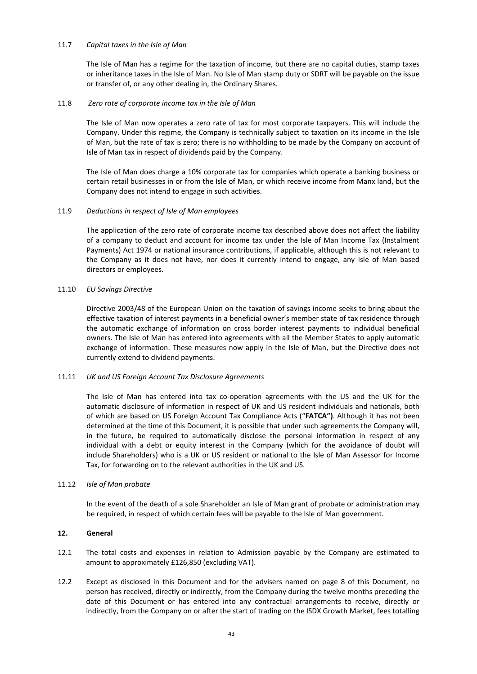### 11.7 Capital taxes in the Isle of Man

The Isle of Man has a regime for the taxation of income, but there are no capital duties, stamp taxes or inheritance taxes in the Isle of Man. No Isle of Man stamp duty or SDRT will be payable on the issue or transfer of, or any other dealing in, the Ordinary Shares.

### 11.8 Zero rate of corporate income tax in the Isle of Man

The Isle of Man now operates a zero rate of tax for most corporate taxpayers. This will include the Company. Under this regime, the Company is technically subject to taxation on its income in the Isle of Man, but the rate of tax is zero; there is no withholding to be made by the Company on account of Isle of Man tax in respect of dividends paid by the Company.

The Isle of Man does charge a 10% corporate tax for companies which operate a banking business or certain retail businesses in or from the Isle of Man, or which receive income from Manx land, but the Company does not intend to engage in such activities.

### 11.9 Deductions in respect of Isle of Man employees

The application of the zero rate of corporate income tax described above does not affect the liability of a company to deduct and account for income tax under the Isle of Man Income Tax (Instalment Payments) Act 1974 or national insurance contributions, if applicable, although this is not relevant to the Company as it does not have, nor does it currently intend to engage, any Isle of Man based directors or employees.

### 11.10 EU Savings Directive

Directive 2003/48 of the European Union on the taxation of savings income seeks to bring about the effective taxation of interest payments in a beneficial owner's member state of tax residence through the automatic exchange of information on cross border interest payments to individual beneficial owners. The Isle of Man has entered into agreements with all the Member States to apply automatic exchange of information. These measures now apply in the Isle of Man, but the Directive does not currently extend to dividend payments.

### 11.11 UK and US Foreign Account Tax Disclosure Agreements

The Isle of Man has entered into tax co-operation agreements with the US and the UK for the automatic disclosure of information in respect of UK and US resident individuals and nationals, both of which are based on US Foreign Account Tax Compliance Acts ("FATCA"). Although it has not been determined at the time of this Document, it is possible that under such agreements the Company will, in the future, be required to automatically disclose the personal information in respect of any individual with a debt or equity interest in the Company (which for the avoidance of doubt will include Shareholders) who is a UK or US resident or national to the Isle of Man Assessor for Income Tax, for forwarding on to the relevant authorities in the UK and US.

### 11.12 Isle of Man probate

In the event of the death of a sole Shareholder an Isle of Man grant of probate or administration may be required, in respect of which certain fees will be payable to the Isle of Man government.

### 12. General

- 12.1 The total costs and expenses in relation to Admission payable by the Company are estimated to amount to approximately £126,850 (excluding VAT).
- 12.2 Except as disclosed in this Document and for the advisers named on page 8 of this Document, no person has received, directly or indirectly, from the Company during the twelve months preceding the date of this Document or has entered into any contractual arrangements to receive, directly or indirectly, from the Company on or after the start of trading on the ISDX Growth Market, fees totalling